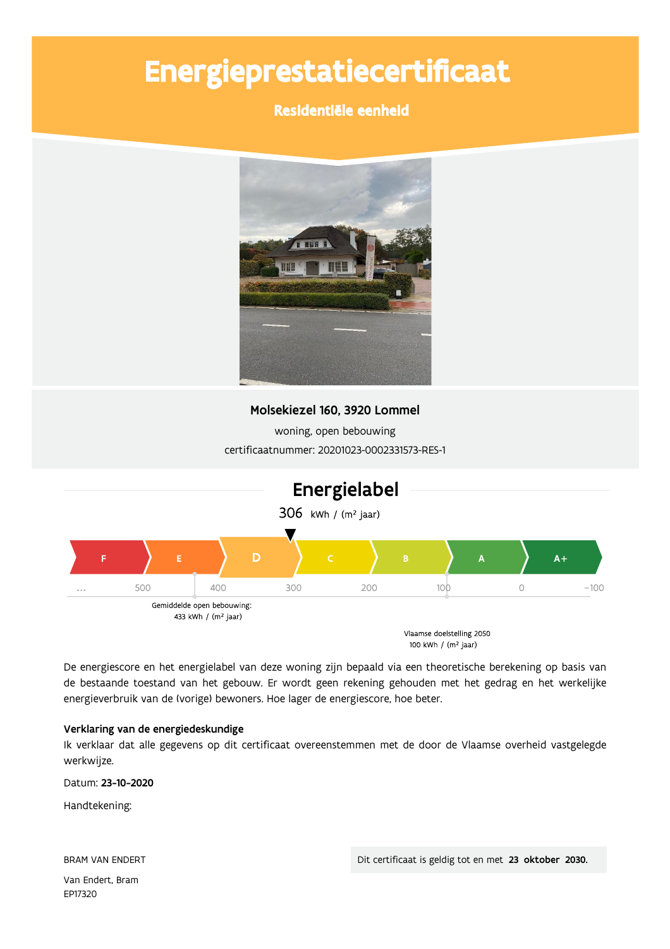# Energieprestatiecertificaat

### Residentiële eenheid



### Molsekiezel 160, 3920 Lommel

woning, open bebouwing certificaatnummer: 20201023-0002331573-RES-1



De energiescore en het energielabel van deze woning zijn bepaald via een theoretische berekening op basis van de bestaande toestand van het gebouw. Er wordt geen rekening gehouden met het gedrag en het werkelijke energieverbruik van de (vorige) bewoners. Hoe lager de energiescore, hoe beter.

### Verklaring van de energiedeskundige

Ik verklaar dat alle gegevens op dit certificaat overeenstemmen met de door de Vlaamse overheid vastgelegde werkwijze.

Datum: 23-10-2020

Handtekening:

**BRAM VAN ENDERT** 

Van Endert, Bram EP17320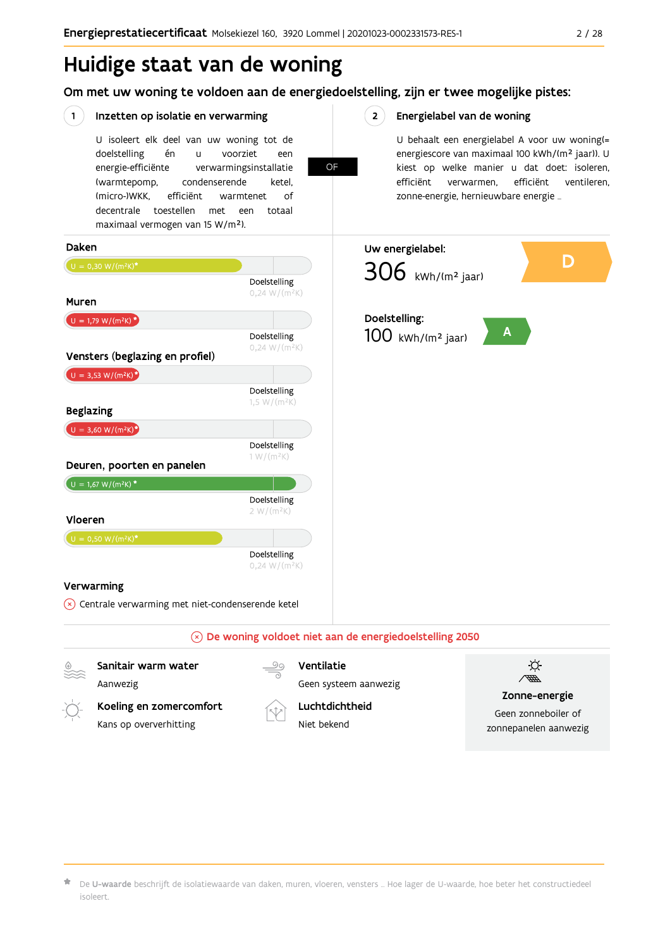## Huidige staat van de woning

Om met uw woning te voldoen aan de energiedoelstelling, zijn er twee mogelijke pistes:

**OF** 

#### $(1)$ Inzetten op isolatie en verwarming

U isoleert elk deel van uw woning tot de doelstelling én voorziet  $\overline{11}$ een energie-efficiënte verwarmingsinstallatie (warmtepomp, condenserende ketel. (micro-)WKK. efficiënt warmtenet  $\bigcap_{ }$ decentrale toestellen met een totaal maximaal vermogen van 15 W/m<sup>2</sup>).

 $2^{\circ}$ Energielabel van de woning

> U behaalt een energielabel A voor uw woning(= energiescore van maximaal 100 kWh/(m<sup>2</sup> jaar)). U kiest op welke manier u dat doet: isoleren, efficiënt efficiënt ventileren, verwarmen, zonne-energie, hernieuwbare energie ...



Koeling en zomercomfort Kans op oververhitting



Geen systeem aanwezig Luchtdichtheid

Niet bekend



Zonne-energie

Geen zonneboiler of zonnepanelen aanwezig

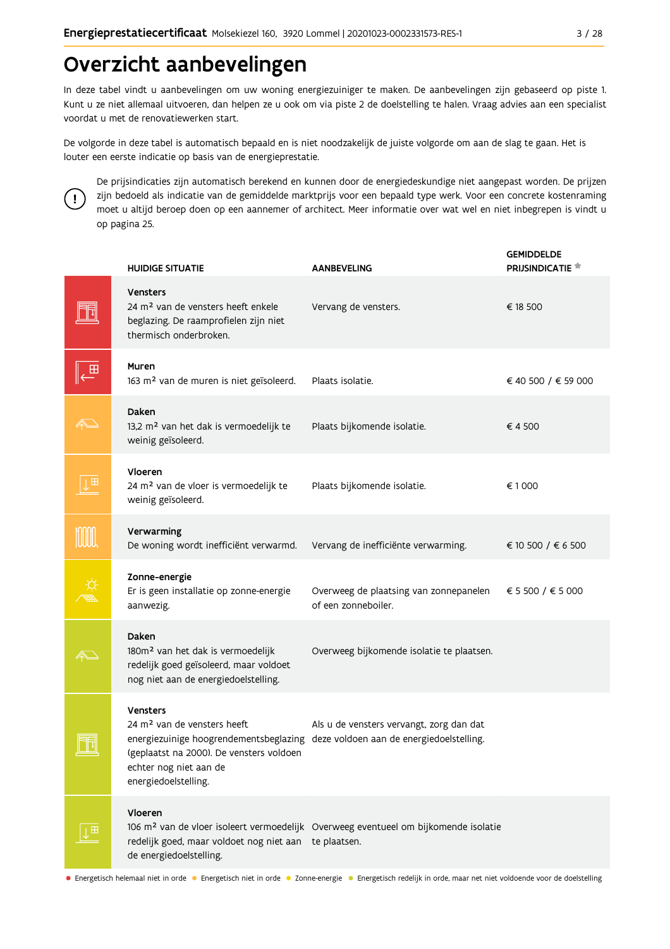## Overzicht aanbevelingen

In deze tabel vindt u aanbevelingen om uw woning energiezuiniger te maken. De aanbevelingen zijn gebaseerd op piste 1. Kunt u ze niet allemaal uitvoeren, dan helpen ze u ook om via piste 2 de doelstelling te halen. Vraag advies aan een specialist voordat u met de renovatiewerken start.

De volgorde in deze tabel is automatisch bepaald en is niet noodzakelijk de juiste volgorde om aan de slag te gaan. Het is louter een eerste indicatie op basis van de energieprestatie.



De prijsindicaties zijn automatisch berekend en kunnen door de energiedeskundige niet aangepast worden. De prijzen zijn bedoeld als indicatie van de gemiddelde marktprijs voor een bepaald type werk. Voor een concrete kostenraming moet u altijd beroep doen op een aannemer of architect. Meer informatie over wat wel en niet inbegrepen is vindt u op pagina 25.

|            | <b>HUIDIGE SITUATIE</b>                                                                                                                                                                                                              | <b>AANBEVELING</b>                                                                              | <b>GEMIDDELDE</b><br>PRIJSINDICATIE <sup>*</sup> |
|------------|--------------------------------------------------------------------------------------------------------------------------------------------------------------------------------------------------------------------------------------|-------------------------------------------------------------------------------------------------|--------------------------------------------------|
|            | <b>Vensters</b><br>24 m <sup>2</sup> van de vensters heeft enkele<br>beglazing. De raamprofielen zijn niet<br>thermisch onderbroken.                                                                                                 | Vervang de vensters.                                                                            | € 18 500                                         |
|            | Muren<br>163 m <sup>2</sup> van de muren is niet geïsoleerd.                                                                                                                                                                         | Plaats isolatie.                                                                                | € 40 500 / € 59 000                              |
|            | Daken<br>13,2 m <sup>2</sup> van het dak is vermoedelijk te<br>weinig geïsoleerd.                                                                                                                                                    | Plaats bijkomende isolatie.                                                                     | €4500                                            |
|            | Vloeren<br>24 m <sup>2</sup> van de vloer is vermoedelijk te<br>weinig geïsoleerd.                                                                                                                                                   | Plaats bijkomende isolatie.                                                                     | €1000                                            |
|            | Verwarming<br>De woning wordt inefficiënt verwarmd.                                                                                                                                                                                  | Vervang de inefficiënte verwarming.                                                             | € 10 500 / € 6 500                               |
|            | Zonne-energie<br>Er is geen installatie op zonne-energie<br>aanwezig.                                                                                                                                                                | Overweeg de plaatsing van zonnepanelen<br>of een zonneboiler.                                   | € 5 500 / € 5 000                                |
|            | Daken<br>180m <sup>2</sup> van het dak is vermoedelijk<br>redelijk goed geïsoleerd, maar voldoet<br>nog niet aan de energiedoelstelling.                                                                                             | Overweeg bijkomende isolatie te plaatsen.                                                       |                                                  |
|            | Vensters<br>24 m <sup>2</sup> van de vensters heeft<br>energiezuinige hoogrendementsbeglazing deze voldoen aan de energiedoelstelling.<br>(geplaatst na 2000). De vensters voldoen<br>echter nog niet aan de<br>energiedoelstelling. | Als u de vensters vervangt, zorg dan dat                                                        |                                                  |
| $\boxplus$ | Vloeren<br>redelijk goed, maar voldoet nog niet aan te plaatsen.<br>de energiedoelstelling.                                                                                                                                          | 106 m <sup>2</sup> van de vloer isoleert vermoedelijk Overweeg eventueel om bijkomende isolatie |                                                  |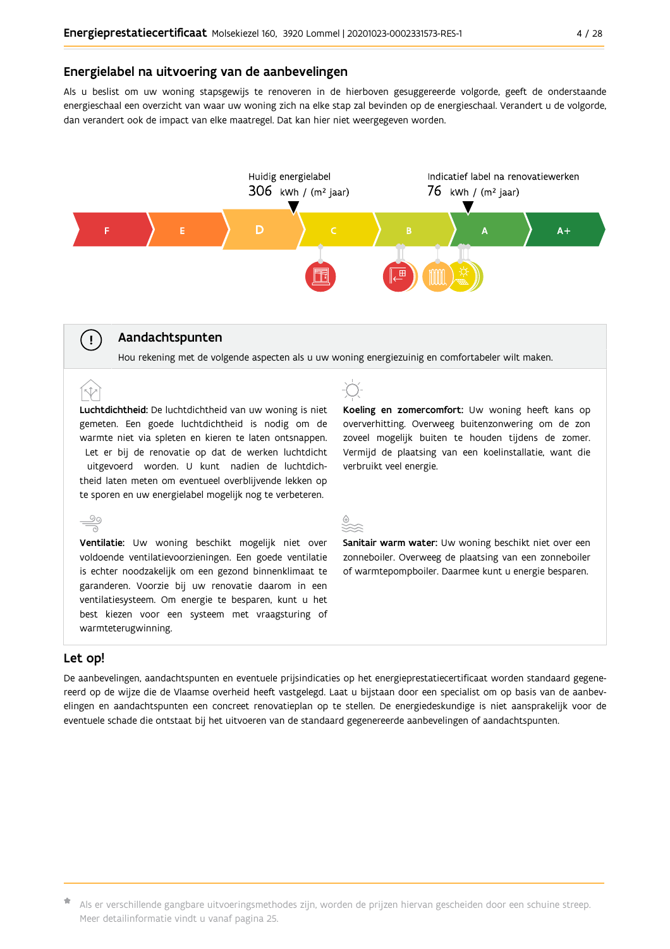### Energielabel na uitvoering van de aanbevelingen

Als u beslist om uw woning stapsgewijs te renoveren in de hierboven gesuggereerde volgorde, geeft de onderstaande energieschaal een overzicht van waar uw woning zich na elke stap zal bevinden op de energieschaal. Verandert u de volgorde, dan verandert ook de impact van elke maatregel. Dat kan hier niet weergegeven worden.



### Aandachtspunten

Hou rekening met de volgende aspecten als u uw woning energiezuinig en comfortabeler wilt maken.

Luchtdichtheid: De luchtdichtheid van uw woning is niet gemeten. Een goede luchtdichtheid is nodig om de warmte niet via spleten en kieren te laten ontsnappen. Let er bij de renovatie op dat de werken luchtdicht uitgevoerd worden. U kunt nadien de luchtdichtheid laten meten om eventueel overblijvende lekken op te sporen en uw energielabel mogelijk nog te verbeteren.

 $\frac{1}{\sqrt{2}}$ Ventilatie: Uw woning beschikt mogelijk niet over voldoende ventilatievoorzieningen. Een goede ventilatie is echter noodzakelijk om een gezond binnenklimaat te garanderen. Voorzie bij uw renovatie daarom in een ventilatiesysteem. Om energie te besparen, kunt u het best kiezen voor een systeem met vraagsturing of warmteterugwinning.

Koeling en zomercomfort: Uw woning heeft kans op oververhitting. Overweeg buitenzonwering om de zon zoveel mogelijk buiten te houden tijdens de zomer. Vermijd de plaatsing van een koelinstallatie, want die verbruikt veel energie.

Sanitair warm water: Uw woning beschikt niet over een zonneboiler. Overweeg de plaatsing van een zonneboiler of warmtepompboiler. Daarmee kunt u energie besparen.

### Let op!

 $\left(\begin{array}{c} \cdot \end{array}\right)$ 

De aanbevelingen, aandachtspunten en eventuele prijsindicaties op het energieprestatiecertificaat worden standaard gegenereerd op de wijze die de Vlaamse overheid heeft vastgelegd. Laat u bijstaan door een specialist om op basis van de aanbevelingen en aandachtspunten een concreet renovatieplan op te stellen. De energiedeskundige is niet aansprakelijk voor de eventuele schade die ontstaat bij het uitvoeren van de standaard gegenereerde aanbevelingen of aandachtspunten.

\* Als er verschillende gangbare uitvoeringsmethodes zijn, worden de prijzen hiervan gescheiden door een schuine streep. Meer detailinformatie vindt u vanaf pagina 25.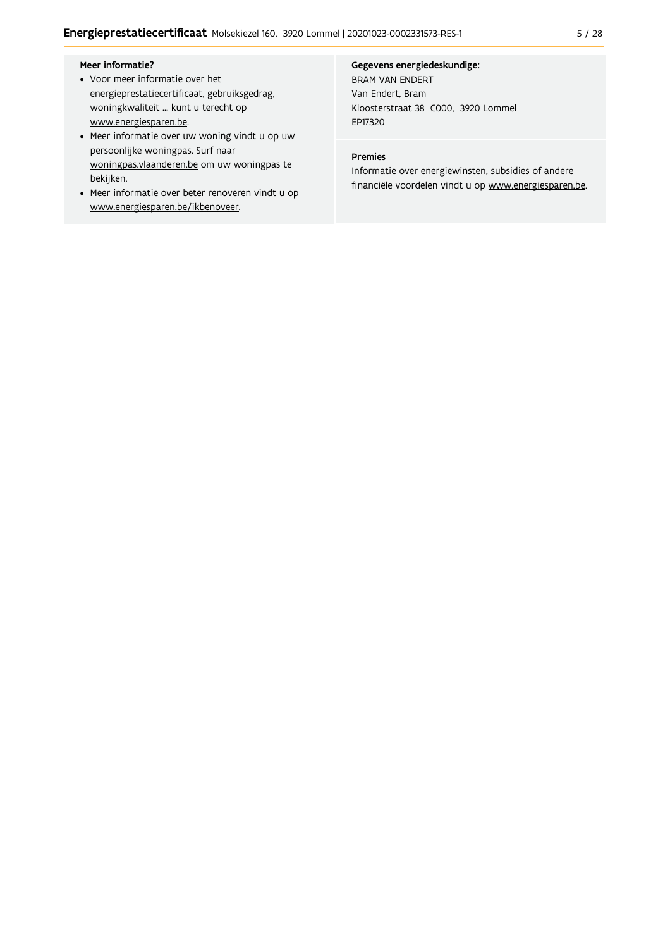- Voor meer informatie over het energieprestatiecertificaat, gebruiksgedrag, woningkwaliteit ... kunt u terecht op www.energiesparen.be.
- Meer informatie over uw woning vindt u op uw persoonlijke woningpas. Surf naar woningpas.vlaanderen.be om uw woningpas te bekijken.
- Meer informatie over beter renoveren vindt u op www.energiesparen.be/ikbenoveer.

### Gegevens energiedeskundige:

**BRAM VAN ENDERT** Van Endert, Bram Kloosterstraat 38 C000, 3920 Lommel EP17320

### Premies

Informatie over energiewinsten, subsidies of andere financiële voordelen vindt u op www.energiesparen.be.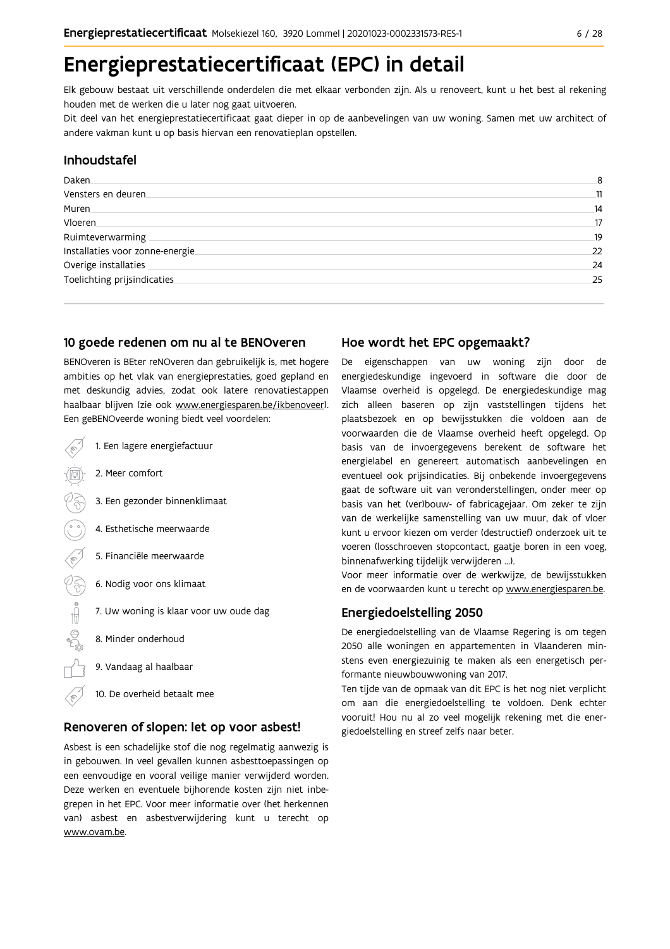# Energieprestatiecertificaat (EPC) in detail

Elk gebouw bestaat uit verschillende onderdelen die met elkaar verbonden zijn. Als u renoveert, kunt u het best al rekening houden met de werken die u later nog gaat uitvoeren.

Dit deel van het energieprestatiecertificaat gaat dieper in op de aanbevelingen van uw woning. Samen met uw architect of andere vakman kunt u op basis hiervan een renovatieplan opstellen.

### Inhoudstafel

| Daken.                           | 8  |
|----------------------------------|----|
| Vensters en deuren               | 11 |
| Muren                            | 14 |
| Vloeren                          | 17 |
| Ruimteverwarming                 | 19 |
| Installaties voor zonne-energie. | 22 |
| Overige installaties             | 24 |
| Toelichting prijsindicaties      | 25 |
|                                  |    |

### 10 goede redenen om nu al te BENOveren

BENOveren is BEter reNOveren dan gebruikelijk is, met hogere ambities op het vlak van energieprestaties, goed gepland en met deskundig advies, zodat ook latere renovatiestappen haalbaar blijven (zie ook www.energiesparen.be/ikbenoveer). Een geBENOveerde woning biedt veel voordelen:

| 1. Een lagere energiefactuur           |
|----------------------------------------|
| 2. Meer comfort                        |
| 3. Een gezonder binnenklimaat          |
| 4. Esthetische meerwaarde              |
| 5. Financiële meerwaarde               |
| 6. Nodig voor ons klimaat              |
| 7. Uw woning is klaar voor uw oude dag |
| 8. Minder onderhoud                    |
| 9. Vandaag al haalbaar                 |

10. De overheid betaalt mee

### Renoveren of slopen: let op voor asbest!

Asbest is een schadelijke stof die nog regelmatig aanwezig is in gebouwen. In veel gevallen kunnen asbesttoepassingen op een eenvoudige en vooral veilige manier verwijderd worden. Deze werken en eventuele bijhorende kosten zijn niet inbegrepen in het EPC. Voor meer informatie over (het herkennen van) asbest en asbestverwijdering kunt u terecht op www.ovam.be.

### Hoe wordt het EPC opgemaakt?

De eigenschappen van uw woning zijn door de energiedeskundige ingevoerd in software die door de Vlaamse overheid is opgelegd. De energiedeskundige mag zich alleen baseren op zijn vaststellingen tijdens het plaatsbezoek en op bewijsstukken die voldoen aan de voorwaarden die de Vlaamse overheid heeft opgelegd. Op basis van de invoergegevens berekent de software het energielabel en genereert automatisch aanbevelingen en eventueel ook prijsindicaties. Bij onbekende invoergegevens gaat de software uit van veronderstellingen, onder meer op basis van het (ver)bouw- of fabricagejaar. Om zeker te zijn van de werkelijke samenstelling van uw muur, dak of vloer kunt u ervoor kiezen om verder (destructief) onderzoek uit te voeren (losschroeven stopcontact, gaatje boren in een voeg, binnenafwerking tijdelijk verwijderen ...).

Voor meer informatie over de werkwijze, de bewijsstukken en de voorwaarden kunt u terecht op www.energiesparen.be.

### **Energiedoelstelling 2050**

De energiedoelstelling van de Vlaamse Regering is om tegen 2050 alle woningen en appartementen in Vlaanderen minstens even energiezuinig te maken als een energetisch performante nieuwbouwwoning van 2017.

Ten tijde van de opmaak van dit EPC is het nog niet verplicht om aan die energiedoelstelling te voldoen. Denk echter vooruit! Hou nu al zo veel mogelijk rekening met die energiedoelstelling en streef zelfs naar beter.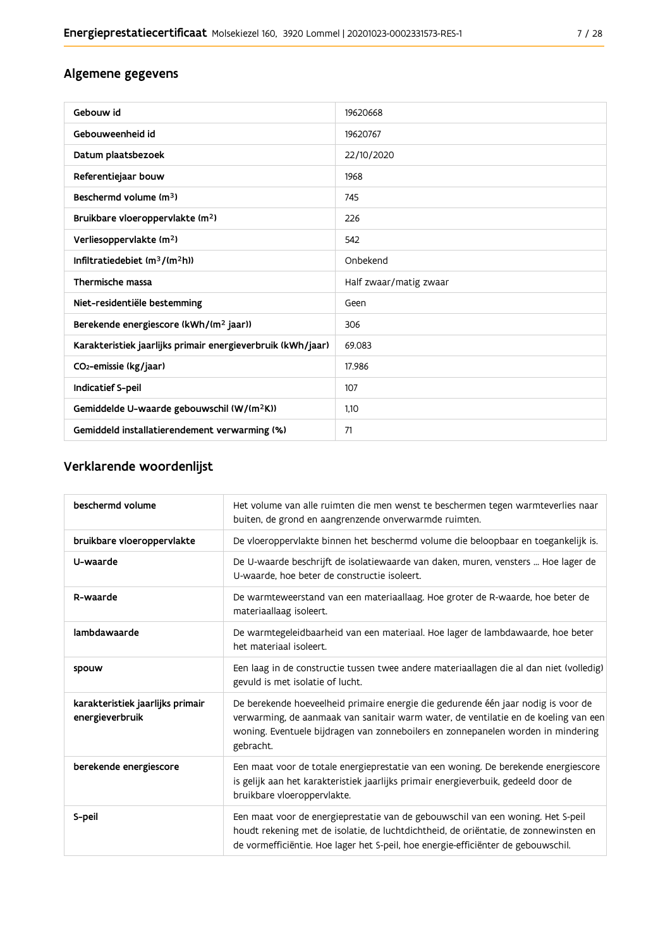### Algemene gegevens

| Gebouw id                                                   | 19620668               |
|-------------------------------------------------------------|------------------------|
| Gebouweenheid id                                            | 19620767               |
| Datum plaatsbezoek                                          | 22/10/2020             |
| Referentiejaar bouw                                         | 1968                   |
| Beschermd volume $(m3)$                                     | 745                    |
| Bruikbare vloeroppervlakte (m <sup>2</sup> )                | 226                    |
| Verliesoppervlakte (m <sup>2</sup> )                        | 542                    |
| Infiltratiedebiet $(m^3/(m^2h))$                            | Onbekend               |
| Thermische massa                                            | Half zwaar/matig zwaar |
| Niet-residentiële bestemming                                | Geen                   |
| Berekende energiescore (kWh/(m <sup>2</sup> jaar))          | 306                    |
| Karakteristiek jaarlijks primair energieverbruik (kWh/jaar) | 69.083                 |
| CO <sub>2</sub> -emissie (kg/jaar)                          | 17.986                 |
| <b>Indicatief S-peil</b>                                    | 107                    |
| Gemiddelde U-waarde gebouwschil (W/(m <sup>2</sup> K))      | 1.10                   |
| Gemiddeld installatierendement verwarming (%)               | 71                     |

### Verklarende woordenlijst

| beschermd volume                                    | Het volume van alle ruimten die men wenst te beschermen tegen warmteverlies naar<br>buiten, de grond en aangrenzende onverwarmde ruimten.                                                                                                                                 |
|-----------------------------------------------------|---------------------------------------------------------------------------------------------------------------------------------------------------------------------------------------------------------------------------------------------------------------------------|
| bruikbare vloeroppervlakte                          | De vloeroppervlakte binnen het beschermd volume die beloopbaar en toegankelijk is.                                                                                                                                                                                        |
| U-waarde                                            | De U-waarde beschrijft de isolatiewaarde van daken, muren, vensters  Hoe lager de<br>U-waarde, hoe beter de constructie isoleert.                                                                                                                                         |
| R-waarde                                            | De warmteweerstand van een materiaallaag. Hoe groter de R-waarde, hoe beter de<br>materiaallaag isoleert.                                                                                                                                                                 |
| lambdawaarde                                        | De warmtegeleidbaarheid van een materiaal. Hoe lager de lambdawaarde, hoe beter<br>het materiaal isoleert.                                                                                                                                                                |
| spouw                                               | Een laag in de constructie tussen twee andere materiaallagen die al dan niet (volledig)<br>gevuld is met isolatie of lucht.                                                                                                                                               |
| karakteristiek jaarlijks primair<br>energieverbruik | De berekende hoeveelheid primaire energie die gedurende één jaar nodig is voor de<br>verwarming, de aanmaak van sanitair warm water, de ventilatie en de koeling van een<br>woning. Eventuele bijdragen van zonneboilers en zonnepanelen worden in mindering<br>gebracht. |
| berekende energiescore                              | Een maat voor de totale energieprestatie van een woning. De berekende energiescore<br>is gelijk aan het karakteristiek jaarlijks primair energieverbuik, gedeeld door de<br>bruikbare vloeroppervlakte.                                                                   |
| S-peil                                              | Een maat voor de energieprestatie van de gebouwschil van een woning. Het S-peil<br>houdt rekening met de isolatie, de luchtdichtheid, de oriëntatie, de zonnewinsten en<br>de vormefficiëntie. Hoe lager het S-peil, hoe energie-efficiënter de gebouwschil.              |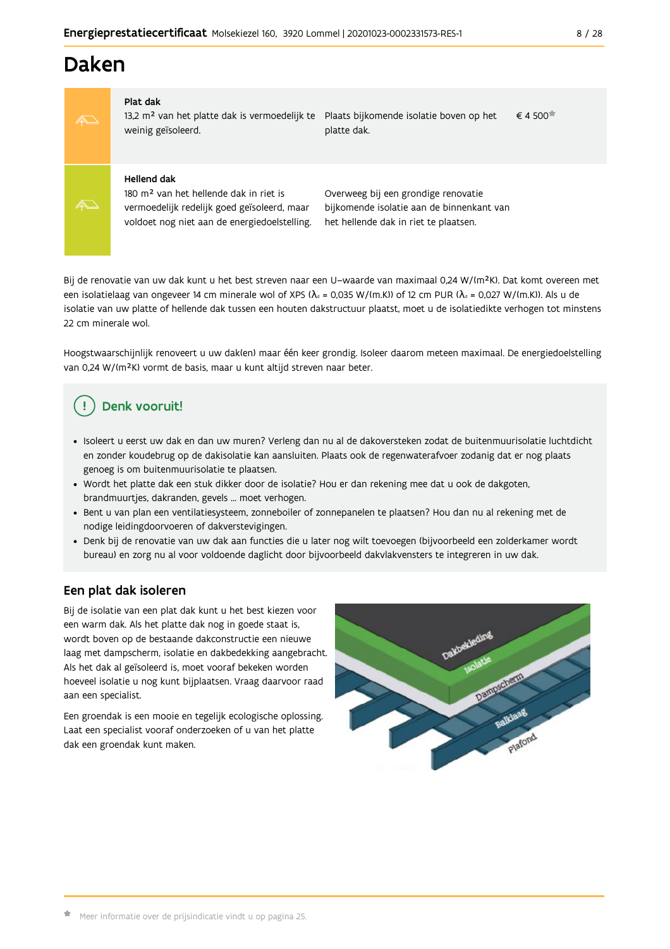## Daken

#### Plat dak

13,2 m<sup>2</sup> van het platte dak is vermoedelijk te Plaats bijkomende isolatie boven op het weinig geïsoleerd. platte dak.

 $\epsilon$  4.500 $\pm$ 

### **Hellend dak**

180 m<sup>2</sup> van het hellende dak in riet is vermoedelijk redelijk goed geïsoleerd, maar voldoet nog niet aan de energiedoelstelling. Overweeg bij een grondige renovatie bijkomende isolatie aan de binnenkant van het hellende dak in riet te plaatsen.

Bij de renovatie van uw dak kunt u het best streven naar een U-waarde van maximaal 0,24 W/(m<sup>2</sup>K). Dat komt overeen met een isolatielaag van ongeveer 14 cm minerale wol of XPS ( $\lambda_a$  = 0,035 W/(m.K)) of 12 cm PUR ( $\lambda_a$  = 0,027 W/(m.K)). Als u de isolatie van uw platte of hellende dak tussen een houten dakstructuur plaatst, moet u de isolatiedikte verhogen tot minstens 22 cm minerale wol.

Hoogstwaarschijnlijk renoveert u uw dak(en) maar één keer grondig. Isoleer daarom meteen maximaal. De energiedoelstelling van 0,24 W/(m<sup>2</sup>K) vormt de basis, maar u kunt altijd streven naar beter.

## Denk vooruit!

- · Isoleert u eerst uw dak en dan uw muren? Verleng dan nu al de dakoversteken zodat de buitenmuurisolatie luchtdicht en zonder koudebrug op de dakisolatie kan aansluiten. Plaats ook de regenwaterafvoer zodanig dat er nog plaats genoeg is om buitenmuurisolatie te plaatsen.
- · Wordt het platte dak een stuk dikker door de isolatie? Hou er dan rekening mee dat u ook de dakgoten, brandmuurtjes, dakranden, gevels ... moet verhogen.
- Bent u van plan een ventilatiesysteem, zonneboiler of zonnepanelen te plaatsen? Hou dan nu al rekening met de nodige leidingdoorvoeren of dakverstevigingen.
- · Denk bij de renovatie van uw dak aan functies die u later nog wilt toevoegen (bijvoorbeeld een zolderkamer wordt bureau) en zorg nu al voor voldoende daglicht door bijvoorbeeld dakvlakvensters te integreren in uw dak.

### Een plat dak isoleren

Bij de isolatie van een plat dak kunt u het best kiezen voor een warm dak. Als het platte dak nog in goede staat is, wordt boven op de bestaande dakconstructie een nieuwe laag met dampscherm, isolatie en dakbedekking aangebracht. Als het dak al geïsoleerd is, moet vooraf bekeken worden hoeveel isolatie u nog kunt bijplaatsen. Vraag daarvoor raad aan een specialist.

Een groendak is een mooie en tegelijk ecologische oplossing. Laat een specialist vooraf onderzoeken of u van het platte dak een groendak kunt maken.

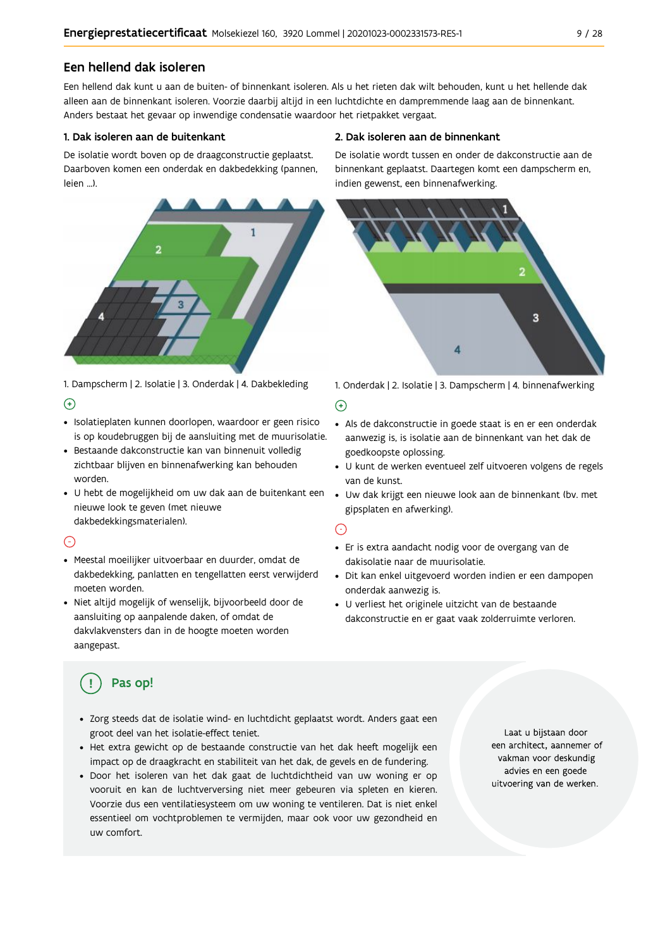### Een hellend dak isoleren

Een hellend dak kunt u aan de buiten- of binnenkant isoleren. Als u het rieten dak wilt behouden, kunt u het hellende dak alleen aan de binnenkant isoleren. Voorzie daarbij altijd in een luchtdichte en dampremmende laag aan de binnenkant. Anders bestaat het gevaar op inwendige condensatie waardoor het rietpakket vergaat.

#### 1. Dak isoleren aan de buitenkant

De isolatie wordt boven op de draagconstructie geplaatst. Daarboven komen een onderdak en dakbedekking (pannen, leien ...).



1. Dampscherm | 2. Isolatie | 3. Onderdak | 4. Dakbekleding

### $\bigoplus$

- · Isolatieplaten kunnen doorlopen, waardoor er geen risico is op koudebruggen bij de aansluiting met de muurisolatie.
- · Bestaande dakconstructie kan van binnenuit volledig zichtbaar blijven en binnenafwerking kan behouden worden.
- · U hebt de mogelijkheid om uw dak aan de buitenkant een Uw dak krijgt een nieuwe look aan de binnenkant (bv. met nieuwe look te geven (met nieuwe dakbedekkingsmaterialen).

### $\bigcap$

- · Meestal moeilijker uitvoerbaar en duurder, omdat de dakbedekking, panlatten en tengellatten eerst verwijderd moeten worden.
- · Niet altijd mogelijk of wenselijk, bijvoorbeeld door de aansluiting op aanpalende daken, of omdat de dakvlakvensters dan in de hoogte moeten worden aangepast.

#### 2. Dak isoleren aan de binnenkant

De isolatie wordt tussen en onder de dakconstructie aan de binnenkant geplaatst. Daartegen komt een dampscherm en, indien gewenst, een binnenafwerking.



1. Onderdak | 2. Isolatie | 3. Dampscherm | 4. binnenafwerking

#### $\bigoplus$

- Als de dakconstructie in goede staat is en er een onderdak aanwezig is, is isolatie aan de binnenkant van het dak de goedkoopste oplossing.
- · U kunt de werken eventueel zelf uitvoeren volgens de regels van de kunst.
- gipsplaten en afwerking).

### ⊙

- · Er is extra aandacht nodig voor de overgang van de dakisolatie naar de muurisolatie.
- · Dit kan enkel uitgevoerd worden indien er een dampopen onderdak aanwezig is.
- U verliest het originele uitzicht van de bestaande dakconstructie en er gaat vaak zolderruimte verloren.

### Pas op!

- · Zorg steeds dat de isolatie wind- en luchtdicht geplaatst wordt. Anders gaat een groot deel van het isolatie-effect teniet.
- Het extra gewicht op de bestaande constructie van het dak heeft mogelijk een impact op de draagkracht en stabiliteit van het dak, de gevels en de fundering.
- · Door het isoleren van het dak gaat de luchtdichtheid van uw woning er op vooruit en kan de luchtverversing niet meer gebeuren via spleten en kieren. Voorzie dus een ventilatiesysteem om uw woning te ventileren. Dat is niet enkel essentieel om vochtproblemen te vermijden, maar ook voor uw gezondheid en uw comfort.

Laat u bijstaan door een architect, aannemer of vakman voor deskundig advies en een goede uitvoering van de werken.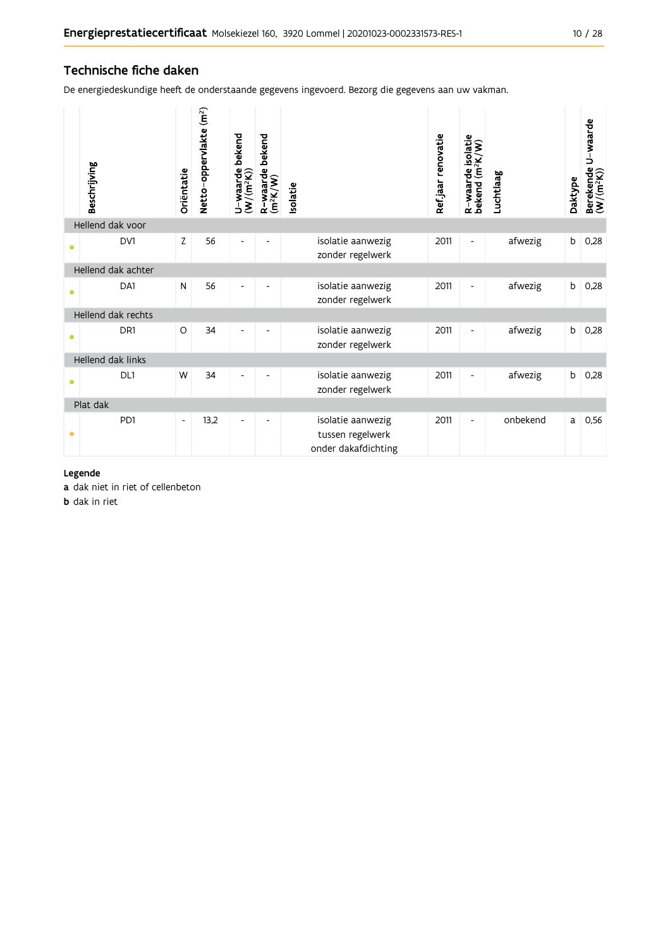### Technische fiche daken

De energiedeskundige heeft de onderstaande gegevens ingevoerd. Bezorg die gegevens aan uw vakman.

|           | Beschrijving       | Oriëntatie               | Netto-oppervlakte (m <sup>2</sup> ) | bekend<br>U-waarde t<br>(W/(m <sup>2</sup> K)) | R-waarde bekend<br>(m <sup>2</sup> K/W) | Isolatie                                                     | Refjaar renovatie | R-waarde isolatie<br>bekend (m <sup>2</sup> K/W) | Luchtlaag | Daktype | U waarde<br>Berekende l<br>(W/(m <sup>2</sup> K)) |
|-----------|--------------------|--------------------------|-------------------------------------|------------------------------------------------|-----------------------------------------|--------------------------------------------------------------|-------------------|--------------------------------------------------|-----------|---------|---------------------------------------------------|
|           | Hellend dak voor   |                          |                                     |                                                |                                         |                                                              |                   |                                                  |           |         |                                                   |
| 0         | DV1                | Z                        | 56                                  |                                                |                                         | isolatie aanwezig<br>zonder regelwerk                        | 2011              | $\overline{\phantom{a}}$                         | afwezig   | b       | 0,28                                              |
|           | Hellend dak achter |                          |                                     |                                                |                                         |                                                              |                   |                                                  |           |         |                                                   |
| $\bullet$ | DA1                | N                        | 56                                  | $\overline{\phantom{a}}$                       |                                         | isolatie aanwezig<br>zonder regelwerk                        | 2011              | $\overline{\phantom{a}}$                         | afwezig   | b       | 0,28                                              |
|           | Hellend dak rechts |                          |                                     |                                                |                                         |                                                              |                   |                                                  |           |         |                                                   |
| 0         | DR <sub>1</sub>    | $\circ$                  | 34                                  |                                                |                                         | isolatie aanwezig<br>zonder regelwerk                        | 2011              | $\overline{\phantom{a}}$                         | afwezig   | b       | 0,28                                              |
|           | Hellend dak links  |                          |                                     |                                                |                                         |                                                              |                   |                                                  |           |         |                                                   |
| Ŏ         | DL1                | W                        | 34                                  |                                                |                                         | isolatie aanwezig<br>zonder regelwerk                        | 2011              | $\overline{\phantom{a}}$                         | afwezig   | b       | 0,28                                              |
|           | Plat dak           |                          |                                     |                                                |                                         |                                                              |                   |                                                  |           |         |                                                   |
| $\bullet$ | PD1                | $\overline{\phantom{a}}$ | 13,2                                | $\overline{\phantom{a}}$                       |                                         | isolatie aanwezig<br>tussen regelwerk<br>onder dakafdichting | 2011              | $\overline{\phantom{a}}$                         | onbekend  | a       | 0,56                                              |

### Legende

a dak niet in riet of cellenbeton

**b** dak in riet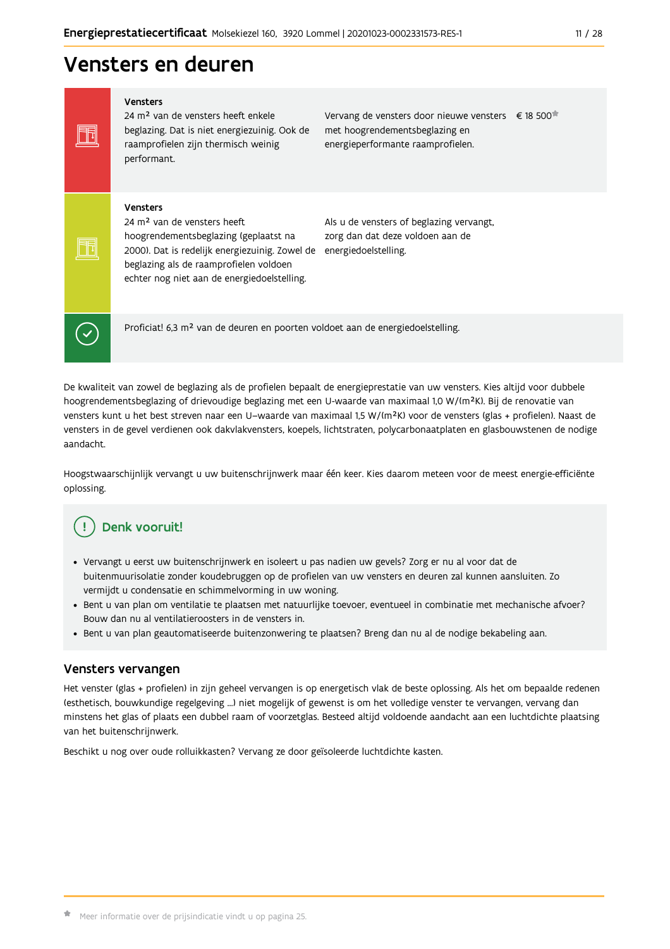#### $11 / 28$

## Vensters en deuren

Vensters 24 m<sup>2</sup> van de vensters heeft enkele beglazing. Dat is niet energiezuinig. Ook de raamprofielen zijn thermisch weinig performant.

Vervang de vensters door nieuwe vensters € 18 500 met hoogrendementsbeglazing en energieperformante raamprofielen.

#### Vensters

Ħ

FFI

 $\checkmark$ 

24 m<sup>2</sup> van de vensters heeft hoogrendementsbeglazing (geplaatst na 2000). Dat is redelijk energiezuinig. Zowel de energiedoelstelling. beglazing als de raamprofielen voldoen echter nog niet aan de energiedoelstelling.

Als u de vensters of beglazing vervangt, zorg dan dat deze voldoen aan de

Proficiat! 6,3 m<sup>2</sup> van de deuren en poorten voldoet aan de energiedoelstelling.

De kwaliteit van zowel de beglazing als de profielen bepaalt de energieprestatie van uw vensters. Kies altijd voor dubbele hoogrendementsbeglazing of drievoudige beglazing met een U-waarde van maximaal 1,0 W/(m<sup>2</sup>K). Bij de renovatie van vensters kunt u het best streven naar een U-waarde van maximaal 1,5 W/(m<sup>2</sup>K) voor de vensters (glas + profielen). Naast de vensters in de gevel verdienen ook dakvlakvensters, koepels, lichtstraten, polycarbonaatplaten en glasbouwstenen de nodige aandacht.

Hoogstwaarschijnlijk vervangt u uw buitenschrijnwerk maar één keer. Kies daarom meteen voor de meest energie-efficiënte oplossing.

#### Denk vooruit! ŋ

- · Vervangt u eerst uw buitenschrijnwerk en isoleert u pas nadien uw gevels? Zorg er nu al voor dat de buitenmuurisolatie zonder koudebruggen op de profielen van uw vensters en deuren zal kunnen aansluiten. Zo vermijdt u condensatie en schimmelvorming in uw woning.
- . Bent u van plan om ventilatie te plaatsen met natuurlijke toevoer, eventueel in combinatie met mechanische afvoer? Bouw dan nu al ventilatieroosters in de vensters in.
- · Bent u van plan geautomatiseerde buitenzonwering te plaatsen? Breng dan nu al de nodige bekabeling aan.

### Vensters vervangen

Het venster (glas + profielen) in zijn geheel vervangen is op energetisch vlak de beste oplossing. Als het om bepaalde redenen (esthetisch, bouwkundige regelgeving ...) niet mogelijk of gewenst is om het volledige venster te vervangen, vervang dan minstens het glas of plaats een dubbel raam of voorzetglas. Besteed altijd voldoende aandacht aan een luchtdichte plaatsing van het buitenschrijnwerk.

Beschikt u nog over oude rolluikkasten? Vervang ze door geïsoleerde luchtdichte kasten.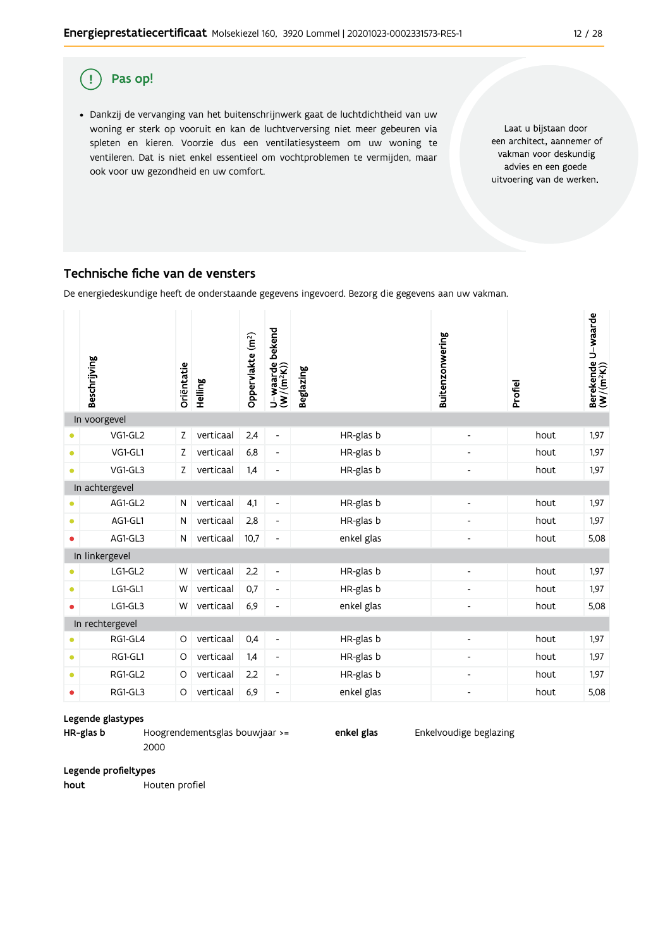#### $\left( \cdot \right)$ Pas op!

· Dankzij de vervanging van het buitenschrijnwerk gaat de luchtdichtheid van uw woning er sterk op vooruit en kan de luchtverversing niet meer gebeuren via spleten en kieren. Voorzie dus een ventilatiesysteem om uw woning te ventileren. Dat is niet enkel essentieel om vochtproblemen te vermijden, maar ook voor uw gezondheid en uw comfort.

Laat u bijstaan door een architect, aannemer of vakman voor deskundig advies en een goede uitvoering van de werken.

### Technische fiche van de vensters

De energiedeskundige heeft de onderstaande gegevens ingevoerd. Bezorg die gegevens aan uw vakman.

|           | Beschrijving            | Oriëntatie | Helling   | Oppervlakte (m <sup>2</sup> ) | bekend<br>U-waarde l<br>(W/(m <sup>2</sup> K)) | <b>Beglazing</b> | Buitenzonwering              | Profiel | Berekende U-waarde<br>(W/(m <sup>2</sup> K)) |  |  |
|-----------|-------------------------|------------|-----------|-------------------------------|------------------------------------------------|------------------|------------------------------|---------|----------------------------------------------|--|--|
|           | In voorgevel<br>VG1-GL2 | Ζ          | verticaal | 2,4                           | $\overline{\phantom{a}}$                       | HR-glas b        | $\overline{\phantom{a}}$     | hout    | 1,97                                         |  |  |
| $\bullet$ | VG1-GL1                 | Z          | verticaal | 6,8                           | $\overline{\phantom{a}}$                       | HR-glas b        | $\overline{\phantom{0}}$     | hout    | 1,97                                         |  |  |
| $\bullet$ | VG1-GL3                 | Z          | verticaal | 1,4                           | $\overline{\phantom{m}}$                       | HR-glas b        | $\qquad \qquad \blacksquare$ | hout    | 1,97                                         |  |  |
|           | In achtergevel          |            |           |                               |                                                |                  |                              |         |                                              |  |  |
| $\bullet$ | AG1-GL2                 | N          | verticaal | 4,1                           | $\qquad \qquad \blacksquare$                   | HR-glas b        | $\overline{\phantom{0}}$     | hout    | 1,97                                         |  |  |
| $\bullet$ | AG1-GL1                 | N          | verticaal | 2,8                           | $\overline{\phantom{a}}$                       | HR-glas b        | $\overline{\phantom{a}}$     | hout    | 1,97                                         |  |  |
| ٠         | AG1-GL3                 | N          | verticaal | 10,7                          | $\overline{a}$                                 | enkel glas       | $\overline{\phantom{0}}$     | hout    | 5,08                                         |  |  |
|           | In linkergevel          |            |           |                               |                                                |                  |                              |         |                                              |  |  |
| ٠         | LG1-GL2                 | W          | verticaal | 2,2                           | $\overline{\phantom{a}}$                       | HR-glas b        | $\overline{\phantom{a}}$     | hout    | 1,97                                         |  |  |
| $\bullet$ | LG1-GL1                 | W          | verticaal | 0,7                           | $\overline{\phantom{a}}$                       | HR-glas b        | $\overline{\phantom{0}}$     | hout    | 1,97                                         |  |  |
| $\bullet$ | LG1-GL3                 | W          | verticaal | 6,9                           | $\qquad \qquad \blacksquare$                   | enkel glas       | $\overline{\phantom{a}}$     | hout    | 5,08                                         |  |  |
|           | In rechtergevel         |            |           |                               |                                                |                  |                              |         |                                              |  |  |
| $\bullet$ | RG1-GL4                 | $\circ$    | verticaal | 0,4                           | $\overline{\phantom{a}}$                       | HR-glas b        | $\overline{\phantom{0}}$     | hout    | 1.97                                         |  |  |
| $\bullet$ | RG1-GL1                 | O          | verticaal | 1,4                           | $\overline{\phantom{a}}$                       | HR-glas b        | $\overline{\phantom{a}}$     | hout    | 1,97                                         |  |  |
| $\bullet$ | RG1-GL2                 | O          | verticaal | 2,2                           | $\overline{\phantom{a}}$                       | HR-glas b        | $\overline{\phantom{a}}$     | hout    | 1,97                                         |  |  |
| $\bullet$ | RG1-GL3                 | O          | verticaal | 6,9                           | $\overline{\phantom{m}}$                       | enkel glas       | Ĭ.                           | hout    | 5,08                                         |  |  |

### Legende glastypes

HR-glas b Hoogrendementsglas bouwjaar >= 2000

enkel glas

Enkelvoudige beglazing

Legende profieltypes

hout Houten profiel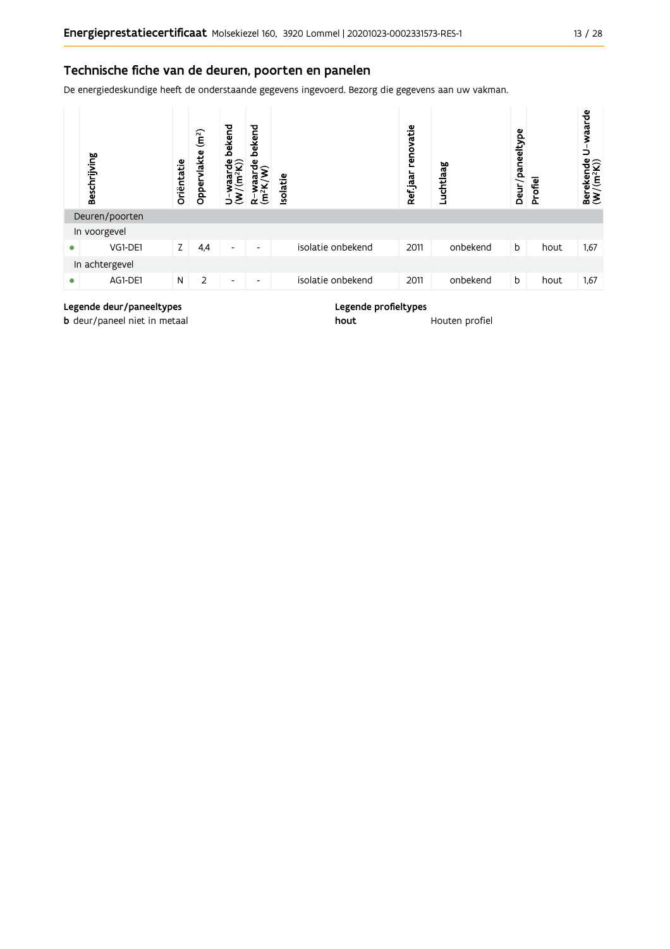### Technische fiche van de deuren, poorten en panelen

De energiedeskundige heeft de onderstaande gegevens ingevoerd. Bezorg die gegevens aan uw vakman.



#### Legende deur/paneeltypes

**b** deur/paneel niet in metaal

Legende profieltypes

hout

Houten profiel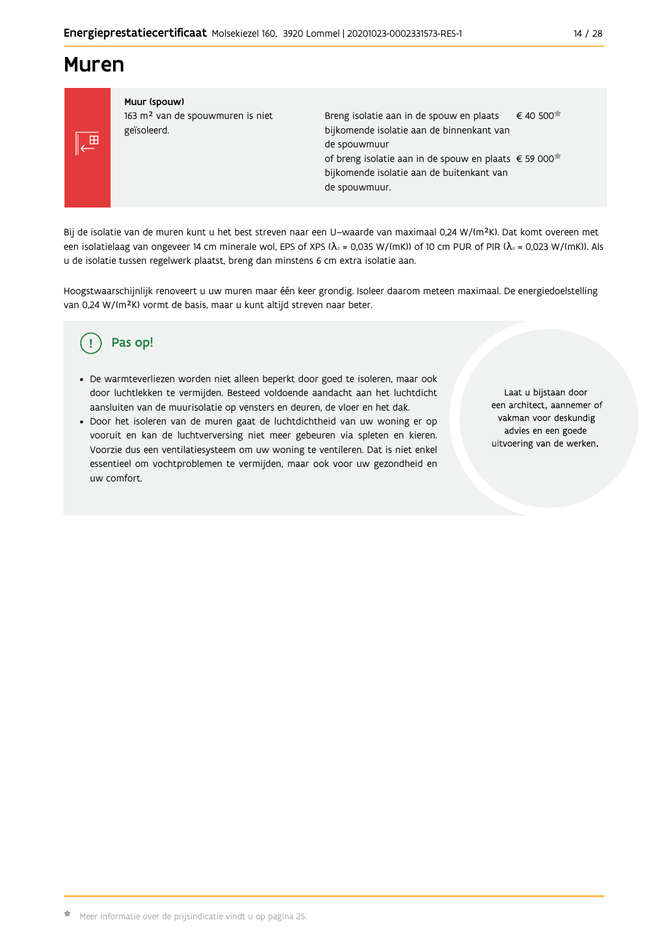## **Muren**



Muur (spouw) 163 m<sup>2</sup> van de spouwmuren is niet geïsoleerd.

€ 40 500 Breng isolatie aan in de spouw en plaats bijkomende isolatie aan de binnenkant van de spouwmuur of breng isolatie aan in de spouw en plaats € 59 000<sup>\*</sup> bijkomende isolatie aan de buitenkant van de spouwmuur.

Bij de isolatie van de muren kunt u het best streven naar een U-waarde van maximaal 0,24 W/(m<sup>2</sup>K). Dat komt overeen met een isolatielaag van ongeveer 14 cm minerale wol, EPS of XPS ( $\lambda_a$  = 0,035 W/(mK)) of 10 cm PUR of PIR ( $\lambda_a$  = 0,023 W/(mK)). Als u de isolatie tussen regelwerk plaatst, breng dan minstens 6 cm extra isolatie aan.

Hoogstwaarschijnlijk renoveert u uw muren maar één keer grondig. Isoleer daarom meteen maximaal. De energiedoelstelling van 0,24 W/(m<sup>2</sup>K) vormt de basis, maar u kunt altijd streven naar beter.

#### Pas op! ( !

- · De warmteverliezen worden niet alleen beperkt door goed te isoleren, maar ook door luchtlekken te vermijden. Besteed voldoende aandacht aan het luchtdicht aansluiten van de muurisolatie op vensters en deuren, de vloer en het dak.
- · Door het isoleren van de muren gaat de luchtdichtheid van uw woning er op vooruit en kan de luchtverversing niet meer gebeuren via spleten en kieren. Voorzie dus een ventilatiesysteem om uw woning te ventileren. Dat is niet enkel essentieel om vochtproblemen te vermijden, maar ook voor uw gezondheid en uw comfort.

Laat u bijstaan door een architect, aannemer of vakman voor deskundig advies en een goede uitvoering van de werken.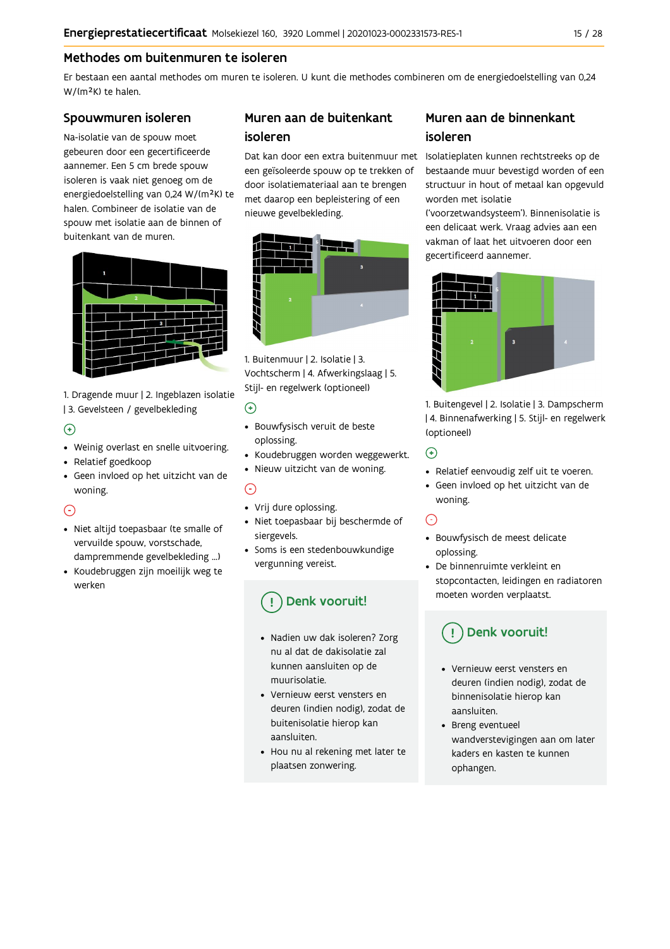### Methodes om buitenmuren te isoleren

Er bestaan een aantal methodes om muren te isoleren. U kunt die methodes combineren om de energiedoelstelling van 0,24 W/(m<sup>2</sup>K) te halen.

### Spouwmuren isoleren

Na-isolatie van de spouw moet gebeuren door een gecertificeerde aannemer. Een 5 cm brede spouw isoleren is vaak niet genoeg om de energiedoelstelling van 0,24 W/(m<sup>2</sup>K) te halen. Combineer de isolatie van de spouw met isolatie aan de binnen of buitenkant van de muren.



1. Dragende muur | 2. Ingeblazen isolatie | 3. Gevelsteen / gevelbekleding

### $\bigoplus$

- Weinig overlast en snelle uitvoering.
- Relatief goedkoop
- · Geen invloed op het uitzicht van de woning.

### $\odot$

- · Niet altijd toepasbaar (te smalle of vervuilde spouw, vorstschade, dampremmende gevelbekleding ...)
- Koudebruggen zijn moeilijk weg te werken

### Muren aan de buitenkant isoleren

een geïsoleerde spouw op te trekken of door isolatiemateriaal aan te brengen met daarop een bepleistering of een nieuwe gevelbekleding.



1. Buitenmuur | 2. Isolatie | 3. Vochtscherm | 4. Afwerkingslaag | 5. Stijl- en regelwerk (optioneel)

### $\odot$

- · Bouwfysisch veruit de beste oplossing.
- Koudebruggen worden weggewerkt.
- · Nieuw uitzicht van de woning.

### $\odot$

- Vrij dure oplossing.
- · Niet toepasbaar bij beschermde of siergevels.
- Soms is een stedenbouwkundige vergunning vereist.

## Denk vooruit!

- · Nadien uw dak isoleren? Zorg nu al dat de dakisolatie zal kunnen aansluiten op de muurisolatie
- Vernieuw eerst vensters en deuren (indien nodig), zodat de buitenisolatie hierop kan aansluiten.
- Hou nu al rekening met later te plaatsen zonwering.

### Muren aan de binnenkant isoleren

Dat kan door een extra buitenmuur met Isolatieplaten kunnen rechtstreeks op de bestaande muur bevestigd worden of een structuur in hout of metaal kan opgevuld worden met isolatie

> ('voorzetwandsysteem'). Binnenisolatie is een delicaat werk. Vraag advies aan een vakman of laat het uitvoeren door een gecertificeerd aannemer.



1. Buitengevel | 2. Isolatie | 3. Dampscherm | 4. Binnenafwerking | 5. Stijl- en regelwerk (optioneel)

 $\bigodot$ 

- Relatief eenvoudig zelf uit te voeren.
- · Geen invloed op het uitzicht van de woning.

### $\odot$

- · Bouwfysisch de meest delicate oplossing.
- De binnenruimte verkleint en stopcontacten, leidingen en radiatoren moeten worden verplaatst.

## Denk vooruit!

- Vernieuw eerst vensters en deuren (indien nodig), zodat de binnenisolatie hierop kan aansluiten.
- Breng eventueel wandverstevigingen aan om later kaders en kasten te kunnen ophangen.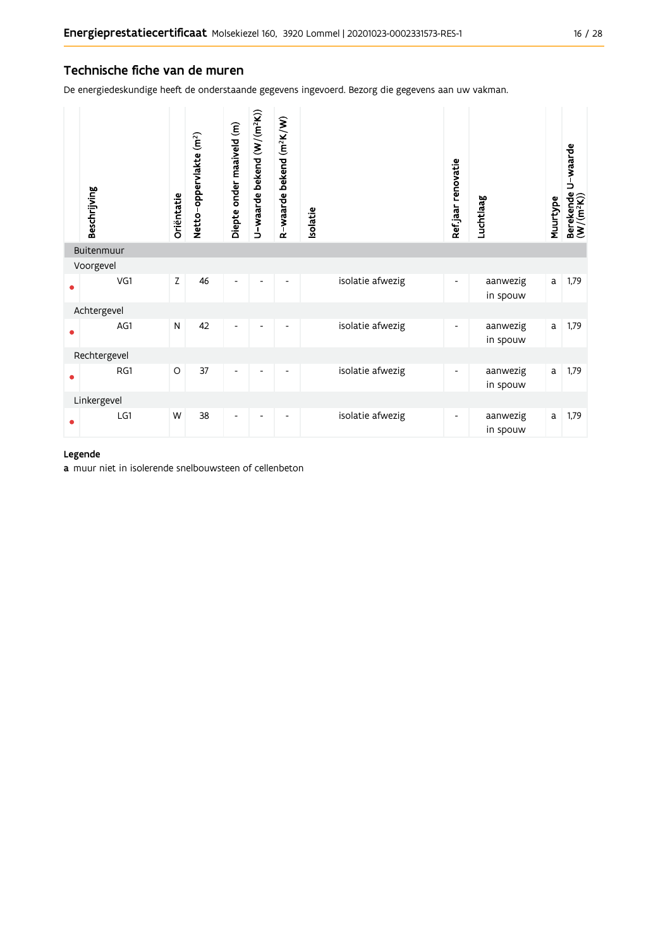### Technische fiche van de muren

De energiedeskundige heeft de onderstaande gegevens ingevoerd. Bezorg die gegevens aan uw vakman.

| Beschrijving | Oriëntatie | Netto-oppervlakte (m <sup>2</sup> ) | Diepte onder maaiveld (m) | U-waarde bekend (W/(m <sup>2</sup> K)) | R-waarde bekend (m <sup>2</sup> K/W) | Isolatie |                  | Ref.jaar renovatie       | Luchtlaag            | Muurtype | Berekende U-waarde<br>(W/(m <sup>2</sup> K)) |
|--------------|------------|-------------------------------------|---------------------------|----------------------------------------|--------------------------------------|----------|------------------|--------------------------|----------------------|----------|----------------------------------------------|
| Buitenmuur   |            |                                     |                           |                                        |                                      |          |                  |                          |                      |          |                                              |
| Voorgevel    |            |                                     |                           |                                        |                                      |          |                  |                          |                      |          |                                              |
| VG1          | Z          | 46                                  | Ĭ.                        |                                        |                                      |          | isolatie afwezig | $\overline{\phantom{a}}$ | aanwezig<br>in spouw | a        | 1,79                                         |
| Achtergevel  |            |                                     |                           |                                        |                                      |          |                  |                          |                      |          |                                              |
| AG1          | N          | 42                                  | $\overline{a}$            |                                        |                                      |          | isolatie afwezig | $\overline{\phantom{a}}$ | aanwezig<br>in spouw | a        | 1,79                                         |
| Rechtergevel |            |                                     |                           |                                        |                                      |          |                  |                          |                      |          |                                              |
| RG1          | $\circ$    | 37                                  | Ĭ.                        |                                        |                                      |          | isolatie afwezig | -                        | aanwezig<br>in spouw | a        | 1,79                                         |
| Linkergevel  |            |                                     |                           |                                        |                                      |          |                  |                          |                      |          |                                              |
| LG1          | W          | 38                                  | ۰                         |                                        |                                      |          | isolatie afwezig | $\overline{\phantom{a}}$ | aanwezig<br>in spouw | a        | 1,79                                         |

### Legende

a muur niet in isolerende snelbouwsteen of cellenbeton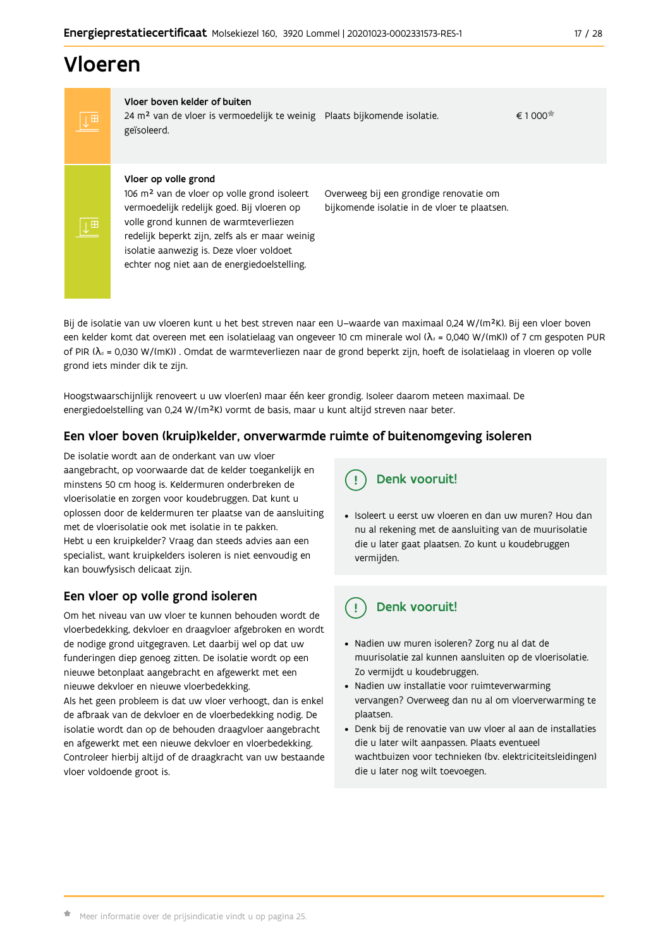## Vloeren

Vloer boven kelder of buiten 24 m<sup>2</sup> van de vloer is vermoedelijk te weinig Plaats bijkomende isolatie. geïsoleerd.

 $\epsilon$  1 000 $\pm$ 

#### Vloer op volle grond

106 m<sup>2</sup> van de vloer op volle grond isoleert vermoedelijk redelijk goed. Bij vloeren op volle grond kunnen de warmteverliezen redelijk beperkt zijn, zelfs als er maar weinig isolatie aanwezig is. Deze vloer voldoet echter nog niet aan de energiedoelstelling.

Overweeg bij een grondige renovatie om bijkomende isolatie in de vloer te plaatsen.

Bij de isolatie van uw vloeren kunt u het best streven naar een U-waarde van maximaal 0,24 W/(m<sup>2</sup>K). Bij een vloer boven een kelder komt dat overeen met een isolatielaag van ongeveer 10 cm minerale wol ( $\lambda_d$  = 0,040 W/(mK)) of 7 cm gespoten PUR of PIR ( $\lambda_0$  = 0,030 W/(mK)). Omdat de warmteverliezen naar de grond beperkt zijn, hoeft de isolatielaag in vloeren op volle grond iets minder dik te zijn.

Hoogstwaarschijnlijk renoveert u uw vloer(en) maar één keer grondig. Isoleer daarom meteen maximaal. De energiedoelstelling van 0,24 W/(m<sup>2</sup>K) vormt de basis, maar u kunt altijd streven naar beter.

### Een vloer boven (kruip)kelder, onverwarmde ruimte of buitenomgeving isoleren

De isolatie wordt aan de onderkant van uw vloer aangebracht, op voorwaarde dat de kelder toegankelijk en minstens 50 cm hoog is. Keldermuren onderbreken de vloerisolatie en zorgen voor koudebruggen. Dat kunt u oplossen door de keldermuren ter plaatse van de aansluiting met de vloerisolatie ook met isolatie in te pakken. Hebt u een kruipkelder? Vraag dan steeds advies aan een specialist, want kruipkelders isoleren is niet eenvoudig en kan bouwfysisch delicaat zijn.

### Een vloer op volle grond isoleren

Om het niveau van uw vloer te kunnen behouden wordt de vloerbedekking, dekvloer en draagvloer afgebroken en wordt de nodige grond uitgegraven. Let daarbij wel op dat uw funderingen diep genoeg zitten. De isolatie wordt op een nieuwe betonplaat aangebracht en afgewerkt met een nieuwe dekvloer en nieuwe vloerbedekking.

Als het geen probleem is dat uw vloer verhoogt, dan is enkel de afbraak van de dekvloer en de vloerbedekking nodig. De isolatie wordt dan op de behouden draagvloer aangebracht en afgewerkt met een nieuwe dekvloer en vloerbedekking. Controleer hierbij altijd of de draagkracht van uw bestaande vloer voldoende groot is.

Denk vooruit!

· Isoleert u eerst uw vloeren en dan uw muren? Hou dan nu al rekening met de aansluiting van de muurisolatie die u later gaat plaatsen. Zo kunt u koudebruggen vermijden.

#### Denk vooruit! ្ម

- · Nadien uw muren isoleren? Zorg nu al dat de muurisolatie zal kunnen aansluiten op de vloerisolatie. Zo vermijdt u koudebruggen.
- Nadien uw installatie voor ruimteverwarming vervangen? Overweeg dan nu al om vloerverwarming te plaatsen.
- · Denk bij de renovatie van uw vloer al aan de installaties die u later wilt aanpassen. Plaats eventueel wachtbuizen voor technieken (bv. elektriciteitsleidingen) die u later nog wilt toevoegen.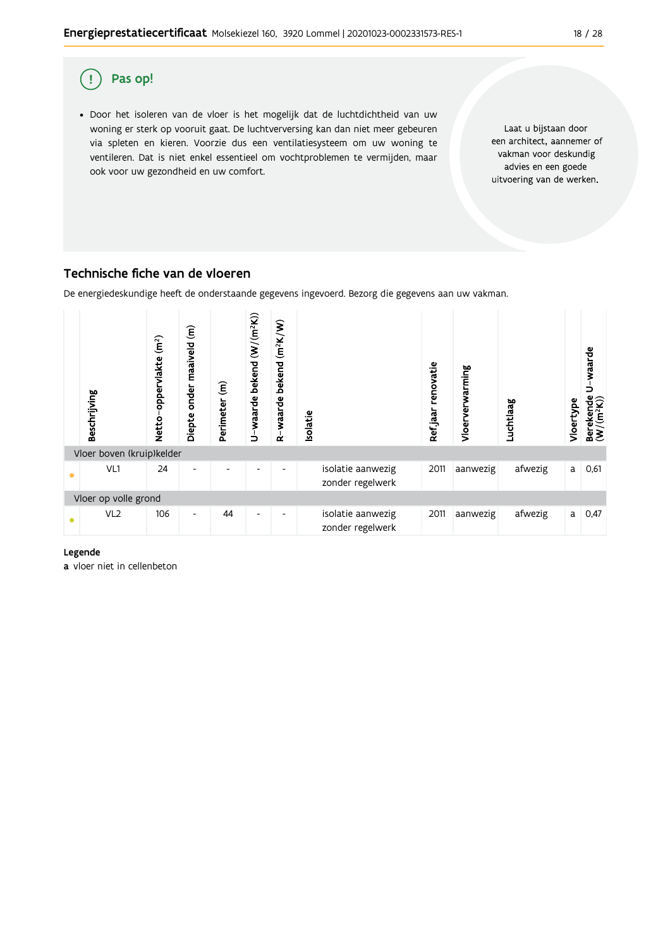

### Technische fiche van de vloeren

De energiedeskundige heeft de onderstaande gegevens ingevoerd. Bezorg die gegevens aan uw vakman.



#### Legende

a vloer niet in cellenbeton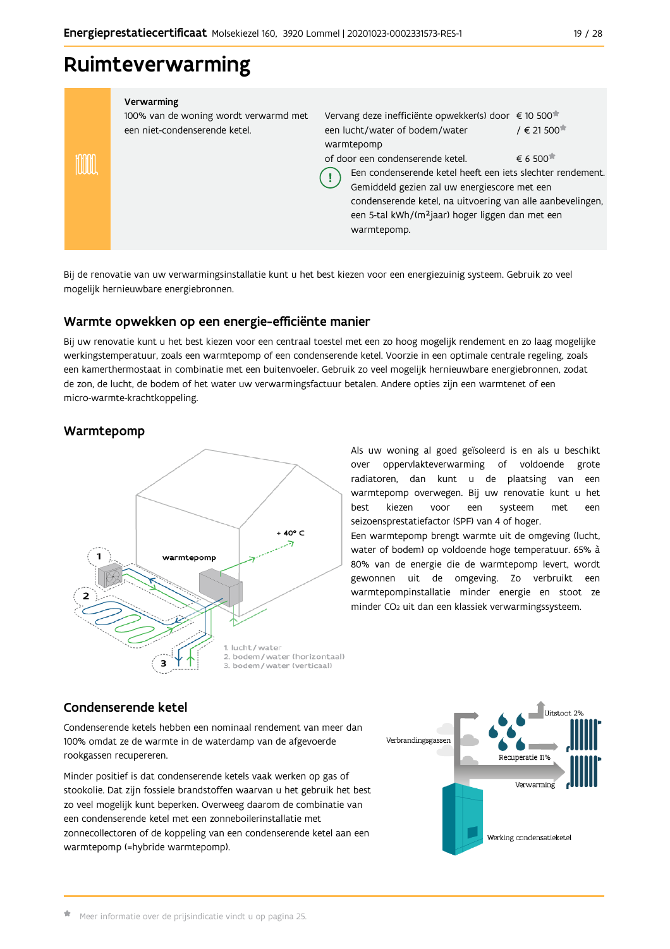## Ruimteverwarming

|   | Verwarming<br>100% van de woning wordt verwarmd met<br>een niet-condenserende ketel. | Vervang deze inefficiënte opwekker(s) door € 10 500<br>een lucht/water of bodem/water<br>warmtepomp                                                                                                                                                                                         | $/ \in 21500$                                |
|---|--------------------------------------------------------------------------------------|---------------------------------------------------------------------------------------------------------------------------------------------------------------------------------------------------------------------------------------------------------------------------------------------|----------------------------------------------|
| ₩ |                                                                                      | of door een condenserende ketel.<br>Een condenserende ketel heeft een iets slechter rendement.<br>Gemiddeld gezien zal uw energiescore met een<br>condenserende ketel, na uitvoering van alle aanbevelingen,<br>een 5-tal kWh/(m <sup>2</sup> jaar) hoger liggen dan met een<br>warmtepomp. | $\epsilon$ 6.500 <sup><math>\pi</math></sup> |
|   |                                                                                      |                                                                                                                                                                                                                                                                                             |                                              |

Bij de renovatie van uw verwarmingsinstallatie kunt u het best kiezen voor een energiezuinig systeem. Gebruik zo veel mogelijk hernieuwbare energiebronnen.

### Warmte opwekken op een energie-efficiënte manier

Bij uw renovatie kunt u het best kiezen voor een centraal toestel met een zo hoog mogelijk rendement en zo laag mogelijke werkingstemperatuur, zoals een warmtepomp of een condenserende ketel. Voorzie in een optimale centrale regeling, zoals een kamerthermostaat in combinatie met een buitenvoeler. Gebruik zo veel mogelijk hernieuwbare energiebronnen, zodat de zon, de lucht, de bodem of het water uw verwarmingsfactuur betalen. Andere opties zijn een warmtenet of een micro-warmte-krachtkoppeling.

### Warmtepomp



Als uw woning al goed geïsoleerd is en als u beschikt over oppervlakteverwarming of voldoende grote radiatoren, dan kunt u de plaatsing van een warmtepomp overwegen. Bij uw renovatie kunt u het hest kiezen een systeem voor met een seizoensprestatiefactor (SPF) van 4 of hoger.

Een warmtepomp brengt warmte uit de omgeving (lucht, water of bodem) op voldoende hoge temperatuur. 65% à 80% van de energie die de warmtepomp levert, wordt gewonnen uit de omgeving. Zo verbruikt een warmtepompinstallatie minder energie en stoot ze minder CO<sub>2</sub> uit dan een klassiek verwarmingssysteem.

### Condenserende ketel

Condenserende ketels hebben een nominaal rendement van meer dan 100% omdat ze de warmte in de waterdamp van de afgevoerde rookgassen recupereren.

Minder positief is dat condenserende ketels vaak werken op gas of stookolie. Dat zijn fossiele brandstoffen waarvan u het gebruik het best zo veel mogelijk kunt beperken. Overweeg daarom de combinatie van een condenserende ketel met een zonneboilerinstallatie met zonnecollectoren of de koppeling van een condenserende ketel aan een warmtepomp (=hybride warmtepomp).

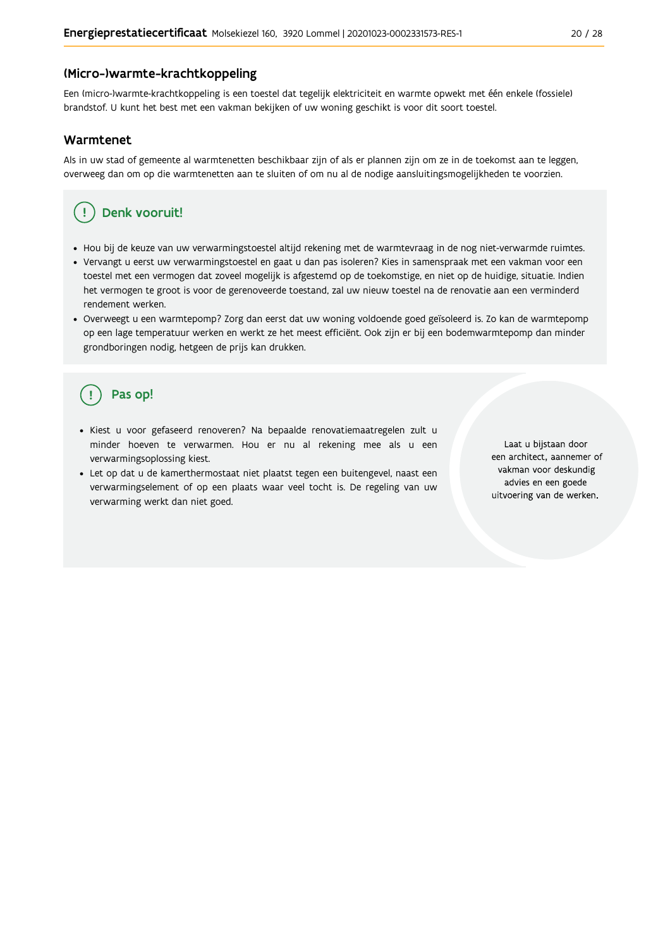### (Micro-)warmte-krachtkoppeling

Een (micro-)warmte-krachtkoppeling is een toestel dat tegelijk elektriciteit en warmte opwekt met één enkele (fossiele) brandstof. U kunt het best met een vakman bekijken of uw woning geschikt is voor dit soort toestel.

### Warmtenet

Als in uw stad of gemeente al warmtenetten beschikbaar zijn of als er plannen zijn om ze in de toekomst aan te leggen, overweeg dan om op die warmtenetten aan te sluiten of om nu al de nodige aansluitingsmogelijkheden te voorzien.

#### Denk vooruit! Ţ

- · Hou bij de keuze van uw verwarmingstoestel altijd rekening met de warmtevraag in de nog niet-verwarmde ruimtes.
- Vervangt u eerst uw verwarmingstoestel en gaat u dan pas isoleren? Kies in samenspraak met een vakman voor een toestel met een vermogen dat zoveel mogelijk is afgestemd op de toekomstige, en niet op de huidige, situatie. Indien het vermogen te groot is voor de gerenoveerde toestand, zal uw nieuw toestel na de renovatie aan een verminderd rendement werken.
- · Overweegt u een warmtepomp? Zorg dan eerst dat uw woning voldoende goed geïsoleerd is. Zo kan de warmtepomp op een lage temperatuur werken en werkt ze het meest efficiënt. Ook zijn er bij een bodemwarmtepomp dan minder grondboringen nodig, hetgeen de prijs kan drukken.

## Pas op!

- · Kiest u voor gefaseerd renoveren? Na bepaalde renovatiemaatregelen zult u minder hoeven te verwarmen. Hou er nu al rekening mee als u een verwarmingsoplossing kiest.
- · Let op dat u de kamerthermostaat niet plaatst tegen een buitengevel, naast een verwarmingselement of op een plaats waar veel tocht is. De regeling van uw verwarming werkt dan niet goed.

Laat u bijstaan door een architect, aannemer of vakman voor deskundig advies en een goede uitvoering van de werken.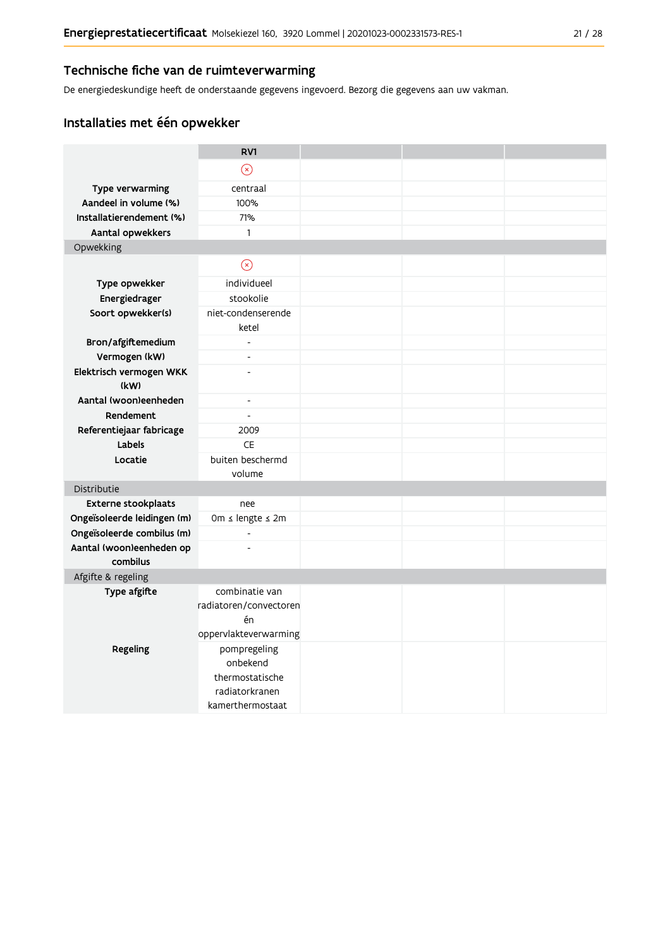### Technische fiche van de ruimteverwarming

De energiedeskundige heeft de onderstaande gegevens ingevoerd. Bezorg die gegevens aan uw vakman.

### Installaties met één opwekker

|                                | RV1                         |  |  |
|--------------------------------|-----------------------------|--|--|
|                                | $\odot$                     |  |  |
| Type verwarming                | centraal                    |  |  |
| Aandeel in volume (%)          | 100%                        |  |  |
| Installatierendement (%)       | 71%                         |  |  |
| Aantal opwekkers               | $\mathbf{1}$                |  |  |
| Opwekking                      |                             |  |  |
|                                | $\circledcirc$              |  |  |
| Type opwekker                  | individueel                 |  |  |
| Energiedrager                  | stookolie                   |  |  |
| Soort opwekker(s)              | niet-condenserende<br>ketel |  |  |
| Bron/afgiftemedium             | $\overline{\phantom{a}}$    |  |  |
| Vermogen (kW)                  | $\overline{a}$              |  |  |
| Elektrisch vermogen WKK        | L,                          |  |  |
| (kW)                           |                             |  |  |
| Aantal (woon)eenheden          | $\blacksquare$              |  |  |
| Rendement                      | $\blacksquare$              |  |  |
| Referentiejaar fabricage       | 2009                        |  |  |
| Labels                         | <b>CE</b>                   |  |  |
| Locatie                        | buiten beschermd            |  |  |
|                                | volume                      |  |  |
| Distributie                    |                             |  |  |
| Externe stookplaats            | nee                         |  |  |
| Ongeïsoleerde leidingen (m)    | 0m ≤ lengte ≤ 2m            |  |  |
| Ongeïsoleerde combilus (m)     | $\frac{1}{2}$               |  |  |
| Aantal (woon)eenheden op       | $\overline{a}$              |  |  |
| combilus<br>Afgifte & regeling |                             |  |  |
| Type afgifte                   | combinatie van              |  |  |
|                                | radiatoren/convectoren      |  |  |
|                                | én                          |  |  |
|                                | oppervlakteverwarming       |  |  |
| Regeling                       | pompregeling                |  |  |
|                                | onbekend                    |  |  |
|                                | thermostatische             |  |  |
|                                | radiatorkranen              |  |  |
|                                | kamerthermostaat            |  |  |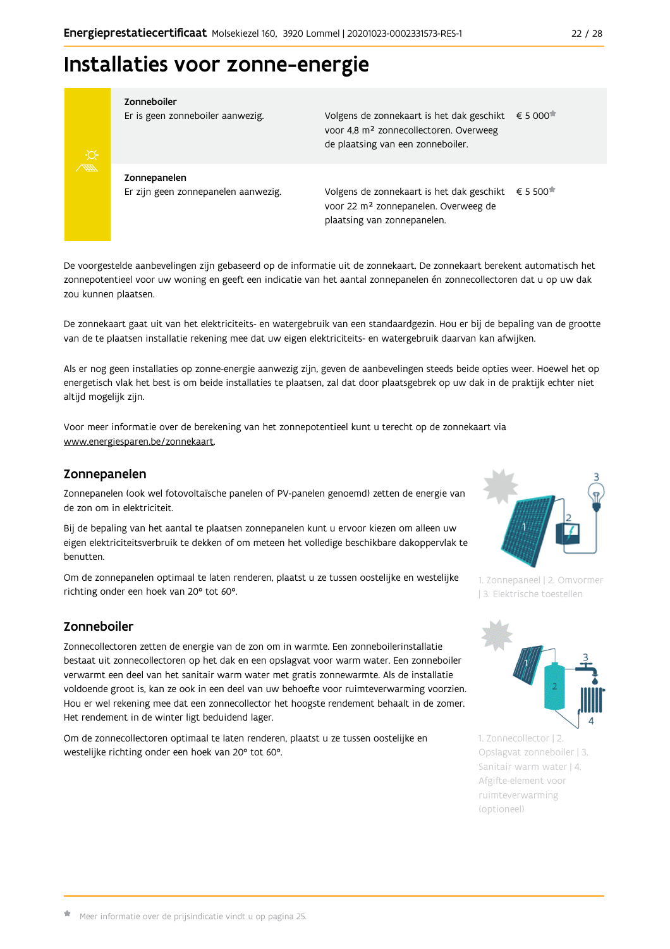## Installaties voor zonne-energie



Zonneboiler

Er is geen zonneboiler aanwezig.

Volgens de zonnekaart is het dak geschikt € 5 000 voor 4,8 m<sup>2</sup> zonnecollectoren. Overweeg de plaatsing van een zonneboiler.

Zonnepanelen Er zijn geen zonnepanelen aanwezig.

Volgens de zonnekaart is het dak geschikt  $\epsilon$  5 500<sup> $\star$ </sup> voor 22 m<sup>2</sup> zonnepanelen. Overweeg de plaatsing van zonnepanelen.

De voorgestelde aanbevelingen zijn gebaseerd op de informatie uit de zonnekaart. De zonnekaart berekent automatisch het zonnepotentieel voor uw woning en geeft een indicatie van het aantal zonnepanelen én zonnecollectoren dat u op uw dak zou kunnen plaatsen.

De zonnekaart gaat uit van het elektriciteits- en watergebruik van een standaardgezin. Hou er bij de bepaling van de grootte van de te plaatsen installatie rekening mee dat uw eigen elektriciteits- en watergebruik daarvan kan afwijken.

Als er nog geen installaties op zonne-energie aanwezig zijn, geven de aanbevelingen steeds beide opties weer. Hoewel het op energetisch vlak het best is om beide installaties te plaatsen, zal dat door plaatsgebrek op uw dak in de praktijk echter niet altijd mogelijk zijn.

Voor meer informatie over de berekening van het zonnepotentieel kunt u terecht op de zonnekaart via www.energiesparen.be/zonnekaart.

### Zonnepanelen

Zonnepanelen (ook wel fotovoltaïsche panelen of PV-panelen genoemd) zetten de energie van de zon om in elektriciteit.

Bij de bepaling van het aantal te plaatsen zonnepanelen kunt u ervoor kiezen om alleen uw eigen elektriciteitsverbruik te dekken of om meteen het volledige beschikbare dakoppervlak te benutten.

Om de zonnepanelen optimaal te laten renderen, plaatst u ze tussen oostelijke en westelijke richting onder een hoek van 20° tot 60°.

### Zonneboiler

Zonnecollectoren zetten de energie van de zon om in warmte. Een zonneboilerinstallatie bestaat uit zonnecollectoren op het dak en een opslagvat voor warm water. Een zonneboiler verwarmt een deel van het sanitair warm water met gratis zonnewarmte. Als de installatie voldoende groot is, kan ze ook in een deel van uw behoefte voor ruimteverwarming voorzien. Hou er wel rekening mee dat een zonnecollector het hoogste rendement behaalt in de zomer. Het rendement in de winter ligt beduidend lager.

Om de zonnecollectoren optimaal te laten renderen, plaatst u ze tussen oostelijke en westelijke richting onder een hoek van 20° tot 60°.



1. Zonnepaneel | 2. Omvormer | 3. Elektrische toestellen



1. Zonnecollector | 2. Opslagvat zonneboiler | 3. Sanitair warm water | 4. Afgifte-element voor ruimteverwarming (optioneel)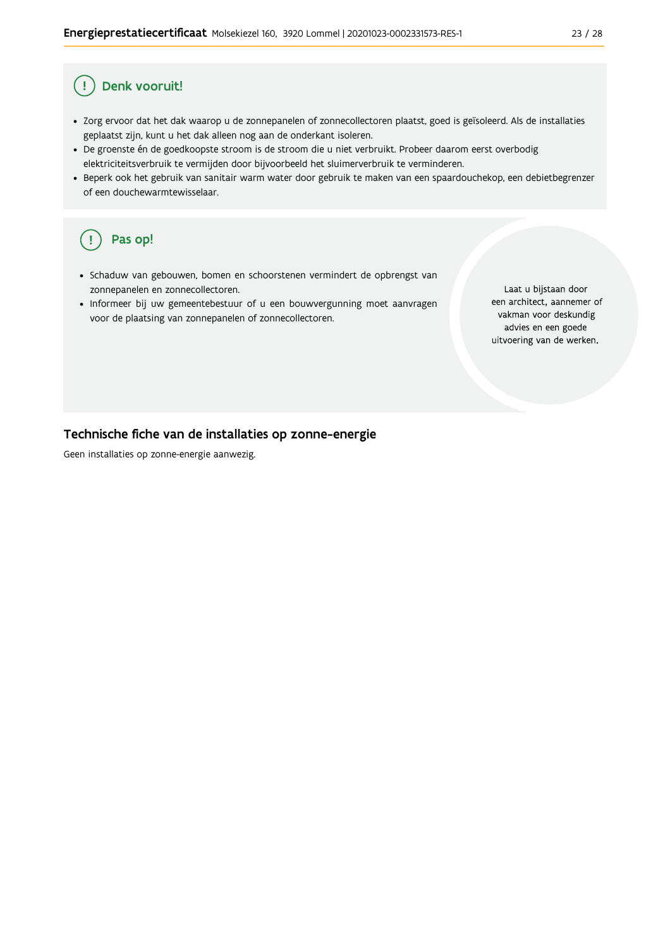#### Denk vooruit! Ţ

- · Zorg ervoor dat het dak waarop u de zonnepanelen of zonnecollectoren plaatst, goed is geïsoleerd. Als de installaties geplaatst zijn, kunt u het dak alleen nog aan de onderkant isoleren.
- · De groenste én de goedkoopste stroom is de stroom die u niet verbruikt. Probeer daarom eerst overbodig elektriciteitsverbruik te vermijden door bijvoorbeeld het sluimerverbruik te verminderen.
- · Beperk ook het gebruik van sanitair warm water door gebruik te maken van een spaardouchekop, een debietbegrenzer of een douchewarmtewisselaar.

#### Pas op! ( !

- · Schaduw van gebouwen, bomen en schoorstenen vermindert de opbrengst van zonnepanelen en zonnecollectoren.
- Informeer bij uw gemeentebestuur of u een bouwvergunning moet aanvragen voor de plaatsing van zonnepanelen of zonnecollectoren.

Laat u bijstaan door een architect, aannemer of vakman voor deskundig advies en een goede uitvoering van de werken.

### Technische fiche van de installaties op zonne-energie

Geen installaties op zonne-energie aanwezig.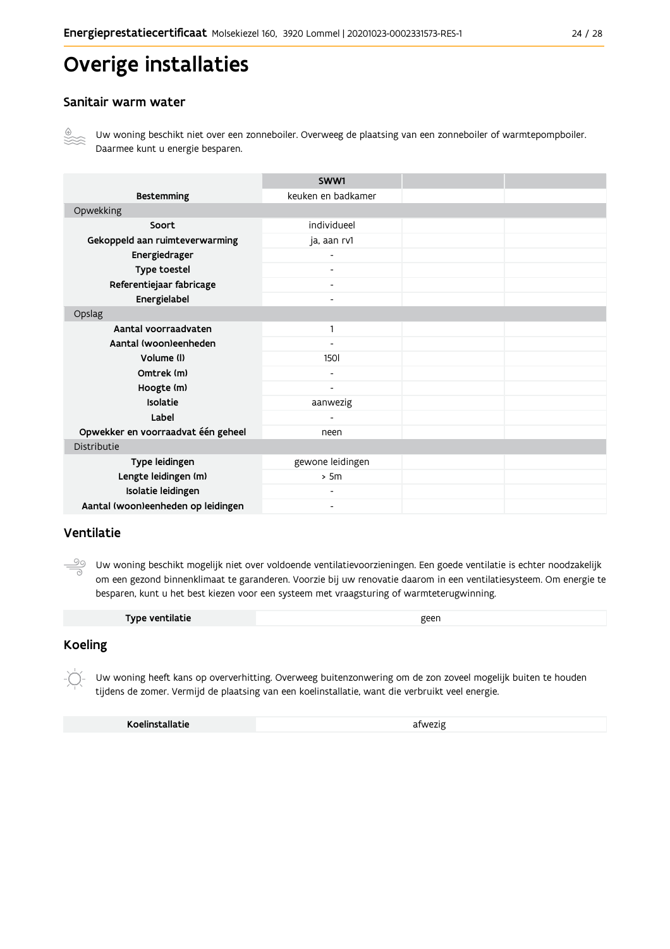## Overige installaties

### Sanitair warm water



Uw woning beschikt niet over een zonneboiler. Overweeg de plaatsing van een zonneboiler of warmtepompboiler. Daarmee kunt u energie besparen.

|                                    | SWW1                     |  |
|------------------------------------|--------------------------|--|
| <b>Bestemming</b>                  | keuken en badkamer       |  |
| Opwekking                          |                          |  |
| Soort                              | individueel              |  |
| Gekoppeld aan ruimteverwarming     | ja, aan rv1              |  |
| Energiedrager                      |                          |  |
| Type toestel                       |                          |  |
| Referentiejaar fabricage           | $\overline{\phantom{a}}$ |  |
| Energielabel                       | $\overline{\phantom{a}}$ |  |
| Opslag                             |                          |  |
| Aantal voorraadvaten               | $\mathbf{1}$             |  |
| Aantal (woon)eenheden              |                          |  |
| Volume (I)                         | <b>1501</b>              |  |
| Omtrek (m)                         | $\overline{\phantom{a}}$ |  |
| Hoogte (m)                         | $\overline{\phantom{a}}$ |  |
| Isolatie                           | aanwezig                 |  |
| Label                              |                          |  |
| Opwekker en voorraadvat één geheel | neen                     |  |
| Distributie                        |                          |  |
| Type leidingen                     | gewone leidingen         |  |
| Lengte leidingen (m)               | > 5m                     |  |
| Isolatie leidingen                 |                          |  |
| Aantal (woon)eenheden op leidingen | $\overline{\phantom{a}}$ |  |

### Ventilatie

 $\overset{\circ}{\underline{\circ}}$ Uw woning beschikt mogelijk niet over voldoende ventilatievoorzieningen. Een goede ventilatie is echter noodzakelijk om een gezond binnenklimaat te garanderen. Voorzie bij uw renovatie daarom in een ventilatiesysteem. Om energie te besparen, kunt u het best kiezen voor een systeem met vraagsturing of warmteterugwinning.

### **Koeling**

Uw woning heeft kans op oververhitting. Overweeg buitenzonwering om de zon zoveel mogelijk buiten te houden tijdens de zomer. Vermijd de plaatsing van een koelinstallatie, want die verbruikt veel energie.

| Koelinstallatie | afwezig |
|-----------------|---------|
|                 |         |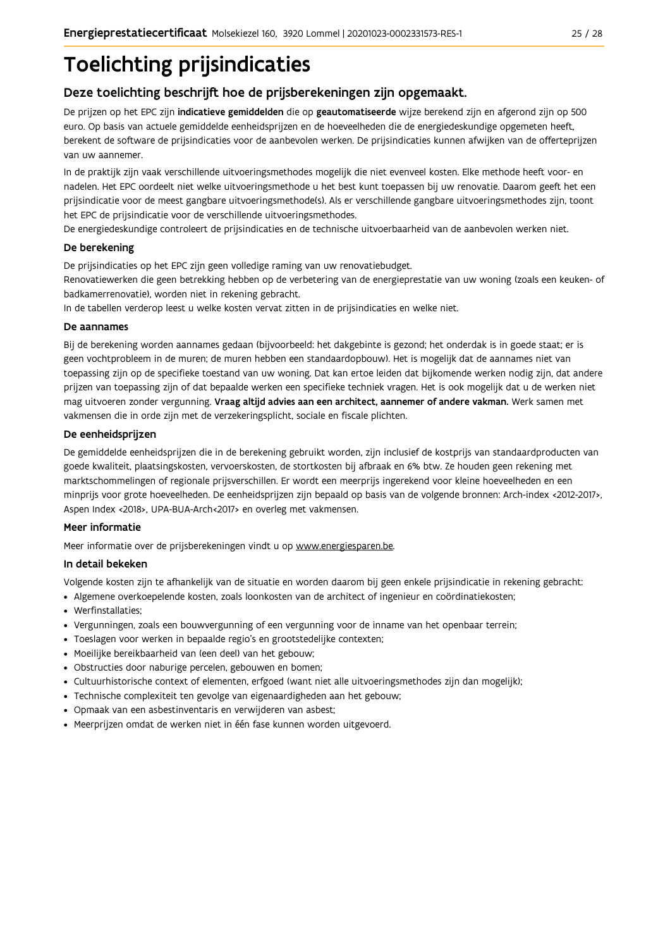# **Toelichting prijsindicaties**

### Deze toelichting beschrijft hoe de prijsberekeningen zijn opgemaakt.

De prijzen op het EPC zijn indicatieve gemiddelden die op geautomatiseerde wijze berekend zijn en afgerond zijn op 500 euro. Op basis van actuele gemiddelde eenheidsprijzen en de hoeveelheden die de energiedeskundige opgemeten heeft, berekent de software de prijsindicaties voor de aanbevolen werken. De prijsindicaties kunnen afwijken van de offerteprijzen van uw aannemer.

In de praktijk zijn vaak verschillende uitvoeringsmethodes mogelijk die niet evenveel kosten. Elke methode heeft voor- en nadelen. Het EPC oordeelt niet welke uitvoeringsmethode u het best kunt toepassen bij uw renovatie. Daarom geeft het een prijsindicatie voor de meest gangbare uitvoeringsmethode(s). Als er verschillende gangbare uitvoeringsmethodes zijn, toont het EPC de prijsindicatie voor de verschillende uitvoeringsmethodes.

De energiedeskundige controleert de prijsindicaties en de technische uitvoerbaarheid van de aanbevolen werken niet.

### De berekening

De prijsindicaties op het EPC zijn geen volledige raming van uw renovatiebudget.

Renovatiewerken die geen betrekking hebben op de verbetering van de energieprestatie van uw woning (zoals een keuken- of badkamerrenovatie), worden niet in rekening gebracht.

In de tabellen verderop leest u welke kosten vervat zitten in de prijsindicaties en welke niet.

### De aannames

Bij de berekening worden aannames gedaan (bijvoorbeeld: het dakgebinte is gezond; het onderdak is in goede staat; er is geen vochtprobleem in de muren; de muren hebben een standaardopbouw). Het is mogelijk dat de aannames niet van toepassing zijn op de specifieke toestand van uw woning. Dat kan ertoe leiden dat bijkomende werken nodig zijn, dat andere prijzen van toepassing zijn of dat bepaalde werken een specifieke techniek vragen. Het is ook mogelijk dat u de werken niet mag uitvoeren zonder vergunning. Vraag altijd advies aan een architect, aannemer of andere vakman. Werk samen met vakmensen die in orde zijn met de verzekeringsplicht, sociale en fiscale plichten.

### De eenheidsprijzen

De gemiddelde eenheidspriizen die in de berekening gebruikt worden, zijn inclusief de kostpriis van standaardproducten van goede kwaliteit, plaatsingskosten, vervoerskosten, de stortkosten bij afbraak en 6% btw. Ze houden geen rekening met marktschommelingen of regionale prijsverschillen. Er wordt een meerprijs ingerekend voor kleine hoeveelheden en een minprijs voor grote hoeveelheden. De eenheidsprijzen zijn bepaald op basis van de volgende bronnen: Arch-index <2012-2017>, Aspen Index <2018>, UPA-BUA-Arch<2017> en overleg met vakmensen.

### Meer informatie

Meer informatie over de prijsberekeningen vindt u op www.energiesparen.be.

### In detail bekeken

Volgende kosten zijn te afhankelijk van de situatie en worden daarom bij geen enkele prijsindicatie in rekening gebracht:

- Algemene overkoepelende kosten, zoals loonkosten van de architect of ingenieur en coördinatiekosten;
- Werfinstallaties:
- · Vergunningen, zoals een bouwvergunning of een vergunning voor de inname van het openbaar terrein;
- Toeslagen voor werken in bepaalde regio's en grootstedelijke contexten:
- · Moeilijke bereikbaarheid van (een deel) van het gebouw;
- · Obstructies door naburige percelen, gebouwen en bomen;
- · Cultuurhistorische context of elementen, erfgoed (want niet alle uitvoeringsmethodes zijn dan mogelijk);
- · Technische complexiteit ten gevolge van eigenaardigheden aan het gebouw;
- · Opmaak van een asbestinventaris en verwijderen van asbest;
- · Meerprijzen omdat de werken niet in één fase kunnen worden uitgevoerd.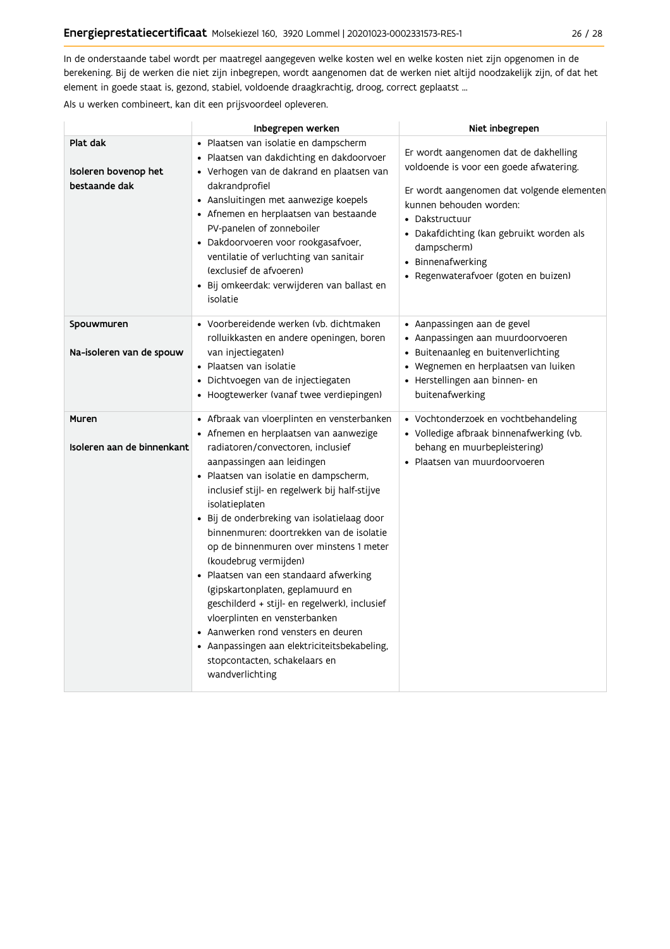In de onderstaande tabel wordt per maatregel aangegeven welke kosten wel en welke kosten niet zijn opgenomen in de berekening. Bij de werken die niet zijn inbegrepen, wordt aangenomen dat de werken niet altijd noodzakelijk zijn, of dat het element in goede staat is, gezond, stabiel, voldoende draagkrachtig, droog, correct geplaatst ...

Als u werken combineert, kan dit een prijsvoordeel opleveren.

|                                                   | Inbegrepen werken                                                                                                                                                                                                                                                                                                                                                                                                                                                                                                                                                                                                                                                                                                                               | Niet inbegrepen                                                                                                                                                                                                                                                                                     |
|---------------------------------------------------|-------------------------------------------------------------------------------------------------------------------------------------------------------------------------------------------------------------------------------------------------------------------------------------------------------------------------------------------------------------------------------------------------------------------------------------------------------------------------------------------------------------------------------------------------------------------------------------------------------------------------------------------------------------------------------------------------------------------------------------------------|-----------------------------------------------------------------------------------------------------------------------------------------------------------------------------------------------------------------------------------------------------------------------------------------------------|
| Plat dak<br>Isoleren bovenop het<br>bestaande dak | · Plaatsen van isolatie en dampscherm<br>· Plaatsen van dakdichting en dakdoorvoer<br>· Verhogen van de dakrand en plaatsen van<br>dakrandprofiel<br>• Aansluitingen met aanwezige koepels<br>• Afnemen en herplaatsen van bestaande<br>PV-panelen of zonneboiler<br>· Dakdoorvoeren voor rookgasafvoer,<br>ventilatie of verluchting van sanitair<br>(exclusief de afvoeren)<br>· Bij omkeerdak: verwijderen van ballast en<br>isolatie                                                                                                                                                                                                                                                                                                        | Er wordt aangenomen dat de dakhelling<br>voldoende is voor een goede afwatering.<br>Er wordt aangenomen dat volgende elementen<br>kunnen behouden worden:<br>• Dakstructuur<br>• Dakafdichting (kan gebruikt worden als<br>dampscherm)<br>• Binnenafwerking<br>• Regenwaterafvoer (goten en buizen) |
| Spouwmuren<br>Na-isoleren van de spouw            | • Voorbereidende werken (vb. dichtmaken<br>rolluikkasten en andere openingen, boren<br>van injectiegaten)<br>• Plaatsen van isolatie<br>· Dichtvoegen van de injectiegaten<br>• Hoogtewerker (vanaf twee verdiepingen)                                                                                                                                                                                                                                                                                                                                                                                                                                                                                                                          | • Aanpassingen aan de gevel<br>• Aanpassingen aan muurdoorvoeren<br>· Buitenaanleg en buitenverlichting<br>• Wegnemen en herplaatsen van luiken<br>· Herstellingen aan binnen- en<br>buitenafwerking                                                                                                |
| Muren<br>Isoleren aan de binnenkant               | • Afbraak van vloerplinten en vensterbanken<br>• Afnemen en herplaatsen van aanwezige<br>radiatoren/convectoren, inclusief<br>aanpassingen aan leidingen<br>• Plaatsen van isolatie en dampscherm,<br>inclusief stijl- en regelwerk bij half-stijve<br>isolatieplaten<br>· Bij de onderbreking van isolatielaag door<br>binnenmuren: doortrekken van de isolatie<br>op de binnenmuren over minstens 1 meter<br>(koudebrug vermijden)<br>· Plaatsen van een standaard afwerking<br>(gipskartonplaten, geplamuurd en<br>geschilderd + stijl- en regelwerk), inclusief<br>vloerplinten en vensterbanken<br>• Aanwerken rond vensters en deuren<br>• Aanpassingen aan elektriciteitsbekabeling,<br>stopcontacten, schakelaars en<br>wandverlichting | • Vochtonderzoek en vochtbehandeling<br>• Volledige afbraak binnenafwerking (vb.<br>behang en muurbepleistering)<br>• Plaatsen van muurdoorvoeren                                                                                                                                                   |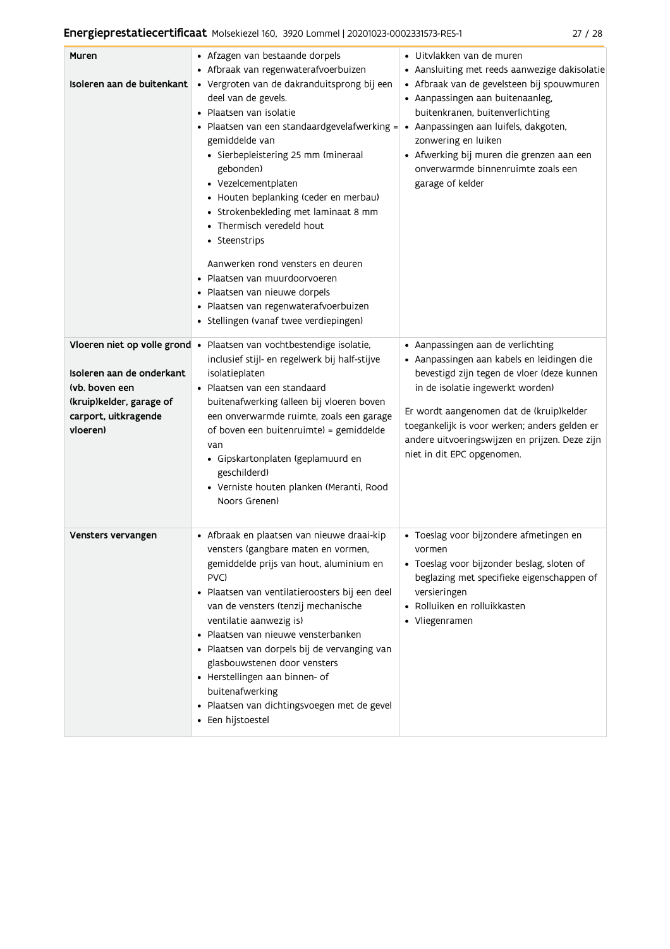| Muren<br>Isoleren aan de buitenkant                                                                                                          | • Afzagen van bestaande dorpels<br>• Afbraak van regenwaterafvoerbuizen<br>· Vergroten van de dakranduitsprong bij een<br>deel van de gevels.<br>· Plaatsen van isolatie<br>· Plaatsen van een standaardgevelafwerking =<br>gemiddelde van<br>· Sierbepleistering 25 mm (mineraal<br>gebonden)<br>• Vezelcementplaten<br>• Houten beplanking (ceder en merbau)<br>• Strokenbekleding met laminaat 8 mm<br>• Thermisch veredeld hout<br>• Steenstrips<br>Aanwerken rond vensters en deuren<br>Plaatsen van muurdoorvoeren<br>· Plaatsen van nieuwe dorpels<br>· Plaatsen van regenwaterafvoerbuizen<br>• Stellingen (vanaf twee verdiepingen) | • Uitvlakken van de muren<br>• Aansluiting met reeds aanwezige dakisolatie<br>• Afbraak van de gevelsteen bij spouwmuren<br>• Aanpassingen aan buitenaanleg,<br>buitenkranen, buitenverlichting<br>• Aanpassingen aan luifels, dakgoten,<br>zonwering en luiken<br>• Afwerking bij muren die grenzen aan een<br>onverwarmde binnenruimte zoals een<br>garage of kelder |
|----------------------------------------------------------------------------------------------------------------------------------------------|----------------------------------------------------------------------------------------------------------------------------------------------------------------------------------------------------------------------------------------------------------------------------------------------------------------------------------------------------------------------------------------------------------------------------------------------------------------------------------------------------------------------------------------------------------------------------------------------------------------------------------------------|------------------------------------------------------------------------------------------------------------------------------------------------------------------------------------------------------------------------------------------------------------------------------------------------------------------------------------------------------------------------|
| Vloeren niet op volle grond •<br>Isoleren aan de onderkant<br>(vb. boven een<br>(kruip)kelder, garage of<br>carport, uitkragende<br>vloeren) | Plaatsen van vochtbestendige isolatie,<br>inclusief stijl- en regelwerk bij half-stijve<br>isolatieplaten<br>• Plaatsen van een standaard<br>buitenafwerking (alleen bij vloeren boven<br>een onverwarmde ruimte, zoals een garage<br>of boven een buitenruimte) = gemiddelde<br>van<br>· Gipskartonplaten (geplamuurd en<br>geschilderd)<br>· Verniste houten planken (Meranti, Rood<br>Noors Grenen)                                                                                                                                                                                                                                       | • Aanpassingen aan de verlichting<br>· Aanpassingen aan kabels en leidingen die<br>bevestigd zijn tegen de vloer (deze kunnen<br>in de isolatie ingewerkt worden)<br>Er wordt aangenomen dat de (kruip)kelder<br>toegankelijk is voor werken; anders gelden er<br>andere uitvoeringswijzen en prijzen. Deze zijn<br>niet in dit EPC opgenomen.                         |
| Vensters vervangen                                                                                                                           | · Afbraak en plaatsen van nieuwe draai-kip<br>vensters (gangbare maten en vormen,<br>gemiddelde prijs van hout, aluminium en<br>PVC)<br>· Plaatsen van ventilatieroosters bij een deel<br>van de vensters (tenzij mechanische<br>ventilatie aanwezig is)<br>Plaatsen van nieuwe vensterbanken<br>· Plaatsen van dorpels bij de vervanging van<br>glasbouwstenen door vensters<br>• Herstellingen aan binnen- of<br>buitenafwerking<br>· Plaatsen van dichtingsvoegen met de gevel<br>• Een hijstoestel                                                                                                                                       | · Toeslag voor bijzondere afmetingen en<br>vormen<br>· Toeslag voor bijzonder beslag, sloten of<br>beglazing met specifieke eigenschappen of<br>versieringen<br>• Rolluiken en rolluikkasten<br>• Vliegenramen                                                                                                                                                         |